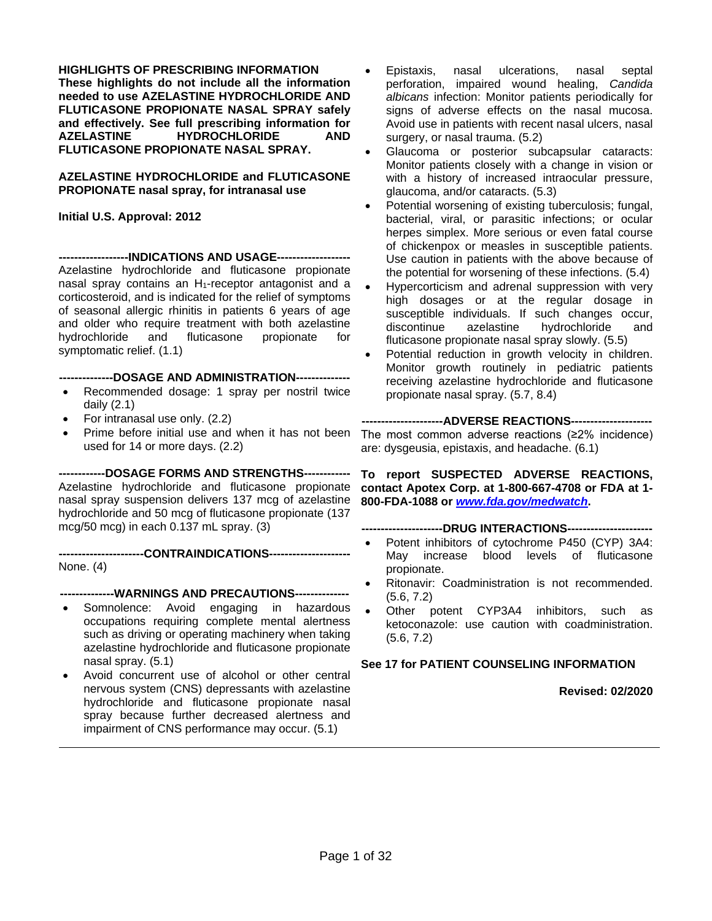**HIGHLIGHTS OF PRESCRIBING INFORMATION These highlights do not include all the information needed to use AZELASTINE HYDROCHLORIDE AND FLUTICASONE PROPIONATE NASAL SPRAY safely and effectively. See full prescribing information for AZELASTINE HYDROCHLORIDE AND FLUTICASONE PROPIONATE NASAL SPRAY.** 

#### **AZELASTINE HYDROCHLORIDE and FLUTICASONE PROPIONATE nasal spray, for intranasal use**

#### **Initial U.S. Approval: 2012**

**------------------INDICATIONS AND USAGE-------------------**

Azelastine hydrochloride and fluticasone propionate nasal spray contains an H<sub>1</sub>-receptor antagonist and a corticosteroid, and is indicated for the relief of symptoms of seasonal allergic rhinitis in patients 6 years of age and older who require treatment with both azelastine hydrochloride and fluticasone propionate for symptomatic relief. (1.1)

#### **--------------DOSAGE AND ADMINISTRATION--------------**

- Recommended dosage: 1 spray per nostril twice daily (2.1)
- For intranasal use only. (2.2)
- Prime before initial use and when it has not been used for 14 or more days. (2.2)

**------------DOSAGE FORMS AND STRENGTHS------------** Azelastine hydrochloride and fluticasone propionate nasal spray suspension delivers 137 mcg of azelastine hydrochloride and 50 mcg of fluticasone propionate (137 mcg/50 mcg) in each 0.137 mL spray. (3)

**----------------------CONTRAINDICATIONS---------------------**

None. (4)

#### **--------------WARNINGS AND PRECAUTIONS--------------**

- Somnolence: Avoid engaging in hazardous occupations requiring complete mental alertness such as driving or operating machinery when taking azelastine hydrochloride and fluticasone propionate nasal spray. (5.1)
- Avoid concurrent use of alcohol or other central nervous system (CNS) depressants with azelastine hydrochloride and fluticasone propionate nasal spray because further decreased alertness and impairment of CNS performance may occur. (5.1)
- Epistaxis, nasal ulcerations, nasal septal perforation, impaired wound healing, *Candida albicans* infection: Monitor patients periodically for signs of adverse effects on the nasal mucosa. Avoid use in patients with recent nasal ulcers, nasal surgery, or nasal trauma. (5.2)
- Glaucoma or posterior subcapsular cataracts: Monitor patients closely with a change in vision or with a history of increased intraocular pressure, glaucoma, and/or cataracts. (5.3)
- Potential worsening of existing tuberculosis; fungal, bacterial, viral, or parasitic infections; or ocular herpes simplex. More serious or even fatal course of chickenpox or measles in susceptible patients. Use caution in patients with the above because of the potential for worsening of these infections. (5.4)
- Hypercorticism and adrenal suppression with very high dosages or at the regular dosage in susceptible individuals. If such changes occur, discontinue azelastine hydrochloride and fluticasone propionate nasal spray slowly. (5.5)
- Potential reduction in growth velocity in children. Monitor growth routinely in pediatric patients receiving azelastine hydrochloride and fluticasone propionate nasal spray. (5.7, 8.4)

#### **---------------------ADVERSE REACTIONS---------------------**

The most common adverse reactions (≥2% incidence) are: dysgeusia, epistaxis, and headache. (6.1)

**To report SUSPECTED ADVERSE REACTIONS, contact Apotex Corp. at 1-800-667-4708 or FDA at 1- 800-FDA-1088 or** *www.fda.gov/medwatch***.**

#### **---------------------DRUG INTERACTIONS----------------------**

- Potent inhibitors of cytochrome P450 (CYP) 3A4: May increase blood levels of fluticasone propionate.
- Ritonavir: Coadministration is not recommended. (5.6, 7.2)
- Other potent CYP3A4 inhibitors, such as ketoconazole: use caution with coadministration. (5.6, 7.2)

#### **See 17 for PATIENT COUNSELING INFORMATION**

**Revised: 02/2020**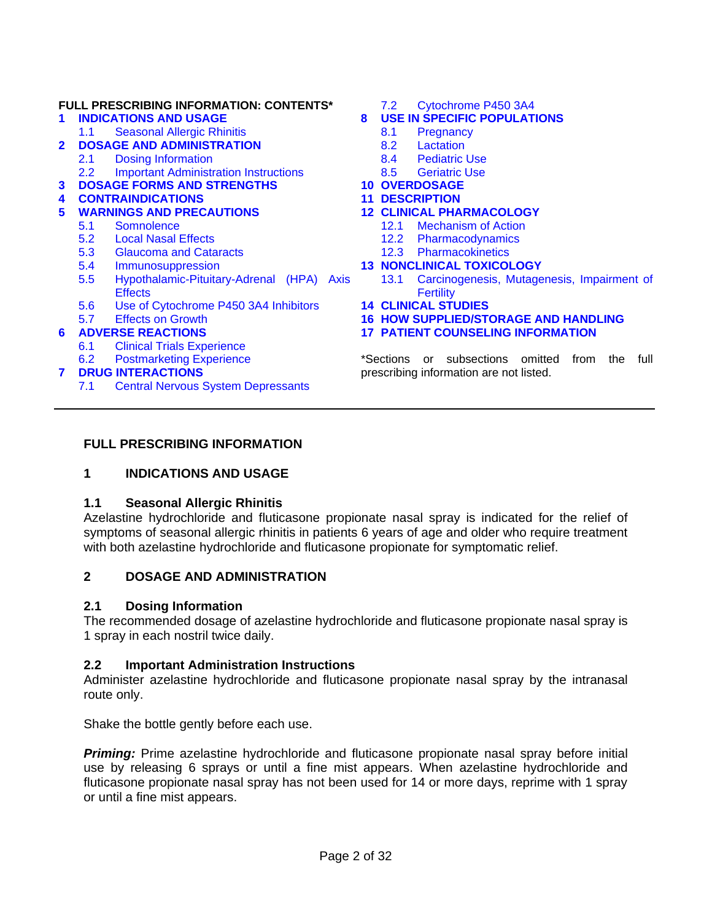## **FULL PRESCRIBING INFORMATION: CONTENTS\***

- **1 [INDICATIONS AND USAGE](#page-1-0)**
- [1.1 Seasonal Allergic Rhinitis](#page-1-1) **[2 DOSAGE AND ADMINISTRATION](#page-1-2)**
	- [2.1 Dosing Information](#page-1-3)
	-
- [2.2 Important Administration Instructions](#page-1-4) **[3 DOSAGE FORMS AND STRENGTHS](#page-2-0)**

# **[4 CONTRAINDICATIONS](#page-2-1)**

- **[5 WARNINGS AND PRECAUTIONS](#page-2-2)**
	- [5.1 Somnolence](#page-2-3)
	- [5.2 Local Nasal Effects](#page-2-4)
	- [5.3 Glaucoma and Cataracts](#page-2-5)
	- [5.4 Immunosuppression](#page-3-0)
	- [5.5 Hypothalamic-Pituitary-Adrenal \(HPA\) Axis](#page-3-1)  **[Effects](#page-3-1)**
	- [5.6 Use of Cytochrome P450 3A4 Inhibitors](#page-4-0)
	- [5.7 Effects](#page-4-1) on Growth

# **[6 ADVERSE REACTIONS](#page-4-2)**

- [6.1 Clinical Trials Experience](#page-4-3)
- [6.2 Postmarketing Experience](#page-7-0)

## **[7 DRUG INTERACTIONS](#page-8-0)**

[7.1 Central Nervous System Depressants](#page-8-1)

[7.2 Cytochrome P450 3A4](#page-8-2)

# **[8 USE IN SPECIFIC POPULATIONS](#page-8-3)**

- [8.1 Pregnancy](#page-8-4)
- [8.2 Lactation](#page-10-0)
- [8.4 Pediatric Use](#page-11-0)
- [8.5 Geriatric Use](#page-11-1)
- **[10 OVERDOSAGE](#page-12-0)**
- **[11 DESCRIPTION](#page-12-1)**

#### **[12 CLINICAL PHARMACOLOGY](#page-13-0)**

- [12.1 Mechanism of Action](#page-13-1)
- [12.2 Pharmacodynamics](#page-14-0)
- [12.3 Pharmacokinetics](#page-14-1)

### **[13 NONCLINICAL TOXICOLOGY](#page-16-0)**

- [13.1 Carcinogenesis, Mutagenesis, Impairment of](#page-16-1)  **[Fertility](#page-16-1)**
- **[14 CLINICAL STUDIES](#page-17-0)**
- **[16 HOW SUPPLIED/STORAGE AND HANDLING](#page-20-0)**
- **[17 PATIENT COUNSELING INFORMATION](#page-20-1)**

\*Sections or subsections omitted from the full prescribing information are not listed.

# **FULL PRESCRIBING INFORMATION**

# <span id="page-1-0"></span>**1 INDICATIONS AND USAGE**

# <span id="page-1-1"></span>**1.1 Seasonal Allergic Rhinitis**

Azelastine hydrochloride and fluticasone propionate nasal spray is indicated for the relief of symptoms of seasonal allergic rhinitis in patients 6 years of age and older who require treatment with both azelastine hydrochloride and fluticasone propionate for symptomatic relief.

# <span id="page-1-2"></span>**2 DOSAGE AND ADMINISTRATION**

# <span id="page-1-3"></span>**2.1 Dosing Information**

The recommended dosage of azelastine hydrochloride and fluticasone propionate nasal spray is 1 spray in each nostril twice daily.

### <span id="page-1-4"></span>**2.2 Important Administration Instructions**

Administer azelastine hydrochloride and fluticasone propionate nasal spray by the intranasal route only.

Shake the bottle gently before each use.

**Priming:** Prime azelastine hydrochloride and fluticasone propionate nasal spray before initial use by releasing 6 sprays or until a fine mist appears. When azelastine hydrochloride and fluticasone propionate nasal spray has not been used for 14 or more days, reprime with 1 spray or until a fine mist appears.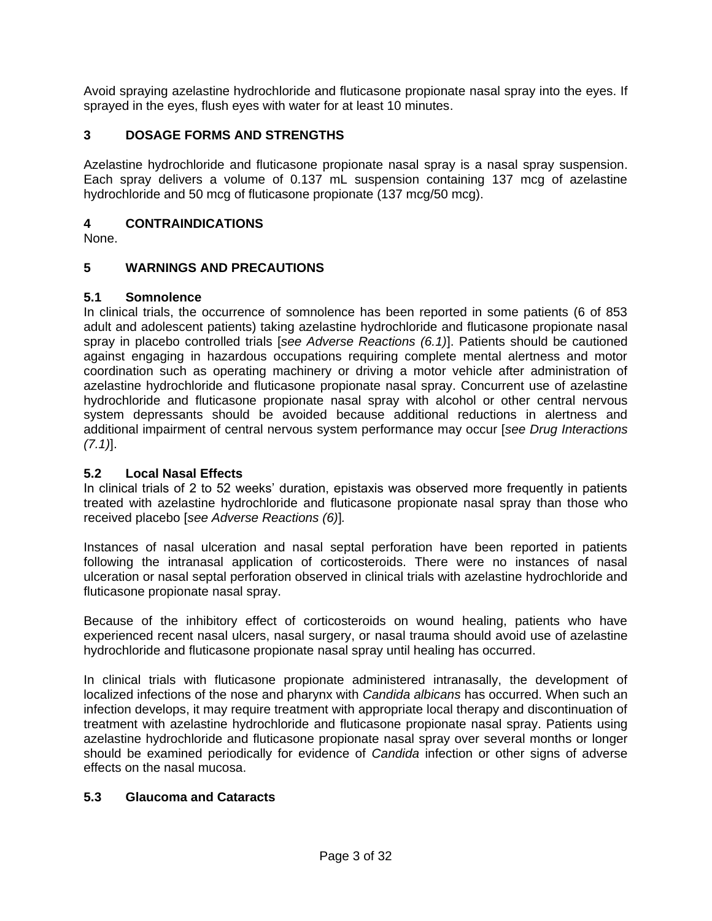Avoid spraying azelastine hydrochloride and fluticasone propionate nasal spray into the eyes. If sprayed in the eyes, flush eyes with water for at least 10 minutes.

# <span id="page-2-0"></span>**3 DOSAGE FORMS AND STRENGTHS**

Azelastine hydrochloride and fluticasone propionate nasal spray is a nasal spray suspension. Each spray delivers a volume of 0.137 mL suspension containing 137 mcg of azelastine hydrochloride and 50 mcg of fluticasone propionate (137 mcg/50 mcg).

# <span id="page-2-1"></span>**4 CONTRAINDICATIONS**

None.

# <span id="page-2-2"></span>**5 WARNINGS AND PRECAUTIONS**

# <span id="page-2-3"></span>**5.1 Somnolence**

In clinical trials, the occurrence of somnolence has been reported in some patients (6 of 853 adult and adolescent patients) taking azelastine hydrochloride and fluticasone propionate nasal spray in placebo controlled trials [*see Adverse Reactions (6.1)*]. Patients should be cautioned against engaging in hazardous occupations requiring complete mental alertness and motor coordination such as operating machinery or driving a motor vehicle after administration of azelastine hydrochloride and fluticasone propionate nasal spray. Concurrent use of azelastine hydrochloride and fluticasone propionate nasal spray with alcohol or other central nervous system depressants should be avoided because additional reductions in alertness and additional impairment of central nervous system performance may occur [*see Drug Interactions (7.1)*].

# <span id="page-2-4"></span>**5.2 Local Nasal Effects**

In clinical trials of 2 to 52 weeks' duration, epistaxis was observed more frequently in patients treated with azelastine hydrochloride and fluticasone propionate nasal spray than those who received placebo [*see Adverse Reactions (6)*]*.* 

Instances of nasal ulceration and nasal septal perforation have been reported in patients following the intranasal application of corticosteroids. There were no instances of nasal ulceration or nasal septal perforation observed in clinical trials with azelastine hydrochloride and fluticasone propionate nasal spray.

Because of the inhibitory effect of corticosteroids on wound healing, patients who have experienced recent nasal ulcers, nasal surgery, or nasal trauma should avoid use of azelastine hydrochloride and fluticasone propionate nasal spray until healing has occurred.

In clinical trials with fluticasone propionate administered intranasally, the development of localized infections of the nose and pharynx with *Candida albicans* has occurred. When such an infection develops, it may require treatment with appropriate local therapy and discontinuation of treatment with azelastine hydrochloride and fluticasone propionate nasal spray. Patients using azelastine hydrochloride and fluticasone propionate nasal spray over several months or longer should be examined periodically for evidence of *Candida* infection or other signs of adverse effects on the nasal mucosa.

# <span id="page-2-5"></span>**5.3 Glaucoma and Cataracts**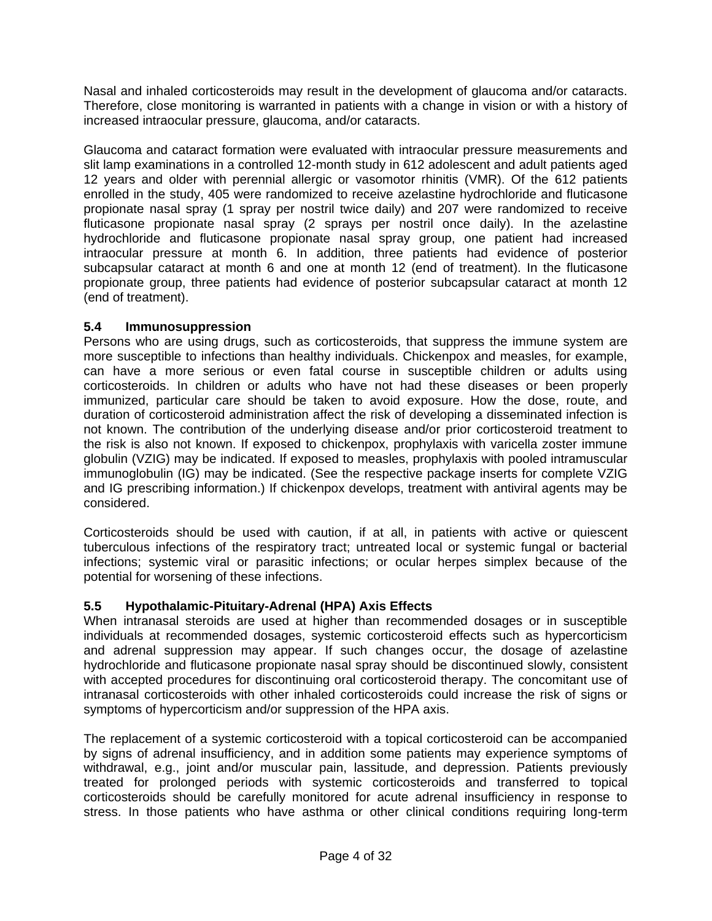Nasal and inhaled corticosteroids may result in the development of glaucoma and/or cataracts. Therefore, close monitoring is warranted in patients with a change in vision or with a history of increased intraocular pressure, glaucoma, and/or cataracts.

Glaucoma and cataract formation were evaluated with intraocular pressure measurements and slit lamp examinations in a controlled 12-month study in 612 adolescent and adult patients aged 12 years and older with perennial allergic or vasomotor rhinitis (VMR). Of the 612 patients enrolled in the study, 405 were randomized to receive azelastine hydrochloride and fluticasone propionate nasal spray (1 spray per nostril twice daily) and 207 were randomized to receive fluticasone propionate nasal spray (2 sprays per nostril once daily). In the azelastine hydrochloride and fluticasone propionate nasal spray group, one patient had increased intraocular pressure at month 6. In addition, three patients had evidence of posterior subcapsular cataract at month 6 and one at month 12 (end of treatment). In the fluticasone propionate group, three patients had evidence of posterior subcapsular cataract at month 12 (end of treatment).

## <span id="page-3-0"></span>**5.4 Immunosuppression**

Persons who are using drugs, such as corticosteroids, that suppress the immune system are more susceptible to infections than healthy individuals. Chickenpox and measles, for example, can have a more serious or even fatal course in susceptible children or adults using corticosteroids. In children or adults who have not had these diseases or been properly immunized, particular care should be taken to avoid exposure. How the dose, route, and duration of corticosteroid administration affect the risk of developing a disseminated infection is not known. The contribution of the underlying disease and/or prior corticosteroid treatment to the risk is also not known. If exposed to chickenpox, prophylaxis with varicella zoster immune globulin (VZIG) may be indicated. If exposed to measles, prophylaxis with pooled intramuscular immunoglobulin (IG) may be indicated. (See the respective package inserts for complete VZIG and IG prescribing information.) If chickenpox develops, treatment with antiviral agents may be considered.

Corticosteroids should be used with caution, if at all, in patients with active or quiescent tuberculous infections of the respiratory tract; untreated local or systemic fungal or bacterial infections; systemic viral or parasitic infections; or ocular herpes simplex because of the potential for worsening of these infections.

# <span id="page-3-1"></span>**5.5 Hypothalamic-Pituitary-Adrenal (HPA) Axis Effects**

When intranasal steroids are used at higher than recommended dosages or in susceptible individuals at recommended dosages, systemic corticosteroid effects such as hypercorticism and adrenal suppression may appear. If such changes occur, the dosage of azelastine hydrochloride and fluticasone propionate nasal spray should be discontinued slowly, consistent with accepted procedures for discontinuing oral corticosteroid therapy. The concomitant use of intranasal corticosteroids with other inhaled corticosteroids could increase the risk of signs or symptoms of hypercorticism and/or suppression of the HPA axis.

The replacement of a systemic corticosteroid with a topical corticosteroid can be accompanied by signs of adrenal insufficiency, and in addition some patients may experience symptoms of withdrawal, e.g., joint and/or muscular pain, lassitude, and depression. Patients previously treated for prolonged periods with systemic corticosteroids and transferred to topical corticosteroids should be carefully monitored for acute adrenal insufficiency in response to stress. In those patients who have asthma or other clinical conditions requiring long-term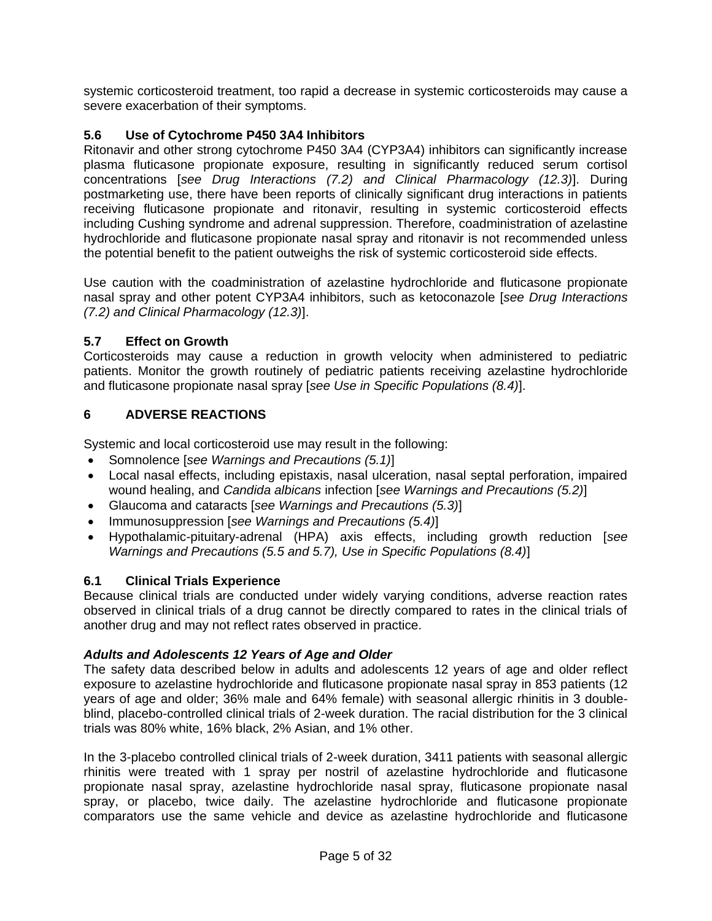systemic corticosteroid treatment, too rapid a decrease in systemic corticosteroids may cause a severe exacerbation of their symptoms.

# <span id="page-4-0"></span>**5.6 Use of Cytochrome P450 3A4 Inhibitors**

Ritonavir and other strong cytochrome P450 3A4 (CYP3A4) inhibitors can significantly increase plasma fluticasone propionate exposure, resulting in significantly reduced serum cortisol concentrations [*see Drug Interactions (7.2) and Clinical Pharmacology (12.3)*]. During postmarketing use, there have been reports of clinically significant drug interactions in patients receiving fluticasone propionate and ritonavir, resulting in systemic corticosteroid effects including Cushing syndrome and adrenal suppression. Therefore, coadministration of azelastine hydrochloride and fluticasone propionate nasal spray and ritonavir is not recommended unless the potential benefit to the patient outweighs the risk of systemic corticosteroid side effects.

Use caution with the coadministration of azelastine hydrochloride and fluticasone propionate nasal spray and other potent CYP3A4 inhibitors, such as ketoconazole [*see Drug Interactions (7.2) and Clinical Pharmacology (12.3)*].

# <span id="page-4-1"></span>**5.7 Effect on Growth**

Corticosteroids may cause a reduction in growth velocity when administered to pediatric patients. Monitor the growth routinely of pediatric patients receiving azelastine hydrochloride and fluticasone propionate nasal spray [*see Use in Specific Populations (8.4)*].

# <span id="page-4-2"></span>**6 ADVERSE REACTIONS**

Systemic and local corticosteroid use may result in the following:

- Somnolence [*see Warnings and Precautions (5.1)*]
- Local nasal effects, including epistaxis, nasal ulceration, nasal septal perforation, impaired wound healing, and *Candida albicans* infection [*see Warnings and Precautions (5.2)*]
- Glaucoma and cataracts [*see Warnings and Precautions (5.3)*]
- Immunosuppression [*see Warnings and Precautions (5.4)*]
- Hypothalamic-pituitary-adrenal (HPA) axis effects, including growth reduction [*see Warnings and Precautions (5.5 and 5.7), Use in Specific Populations (8.4)*]

# <span id="page-4-3"></span>**6.1 Clinical Trials Experience**

Because clinical trials are conducted under widely varying conditions, adverse reaction rates observed in clinical trials of a drug cannot be directly compared to rates in the clinical trials of another drug and may not reflect rates observed in practice.

# *Adults and Adolescents 12 Years of Age and Older*

The safety data described below in adults and adolescents 12 years of age and older reflect exposure to azelastine hydrochloride and fluticasone propionate nasal spray in 853 patients (12 years of age and older; 36% male and 64% female) with seasonal allergic rhinitis in 3 doubleblind, placebo-controlled clinical trials of 2-week duration. The racial distribution for the 3 clinical trials was 80% white, 16% black, 2% Asian, and 1% other.

In the 3-placebo controlled clinical trials of 2-week duration, 3411 patients with seasonal allergic rhinitis were treated with 1 spray per nostril of azelastine hydrochloride and fluticasone propionate nasal spray, azelastine hydrochloride nasal spray, fluticasone propionate nasal spray, or placebo, twice daily. The azelastine hydrochloride and fluticasone propionate comparators use the same vehicle and device as azelastine hydrochloride and fluticasone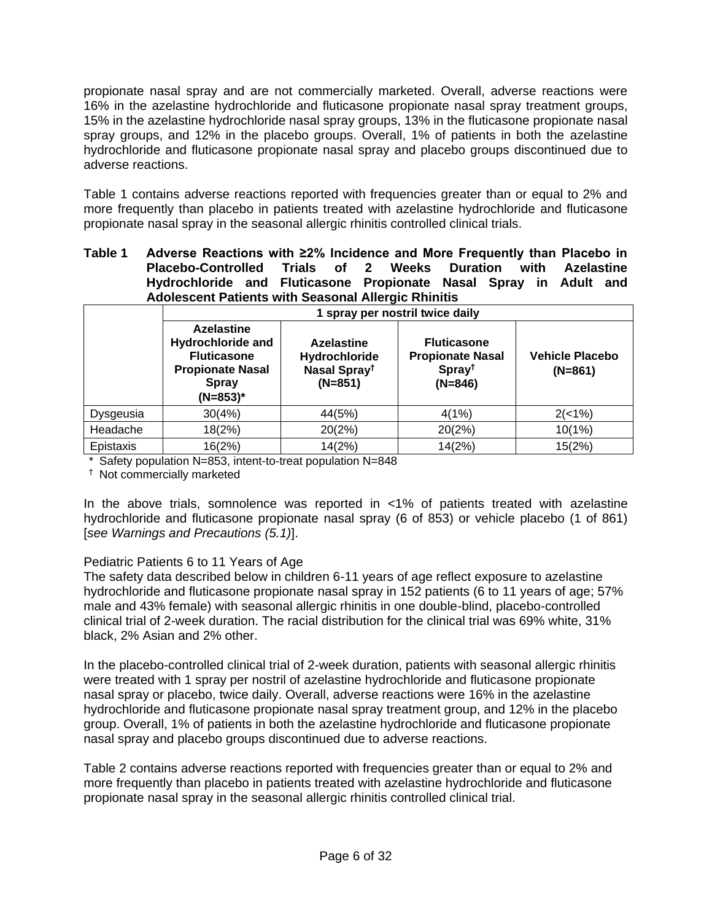propionate nasal spray and are not commercially marketed. Overall, adverse reactions were 16% in the azelastine hydrochloride and fluticasone propionate nasal spray treatment groups, 15% in the azelastine hydrochloride nasal spray groups, 13% in the fluticasone propionate nasal spray groups, and 12% in the placebo groups. Overall, 1% of patients in both the azelastine hydrochloride and fluticasone propionate nasal spray and placebo groups discontinued due to adverse reactions.

Table 1 contains adverse reactions reported with frequencies greater than or equal to 2% and more frequently than placebo in patients treated with azelastine hydrochloride and fluticasone propionate nasal spray in the seasonal allergic rhinitis controlled clinical trials.

#### **Table 1 Adverse Reactions with ≥2% Incidence and More Frequently than Placebo in Placebo-Controlled Trials of 2 Weeks Duration with Azelastine Hydrochloride and Fluticasone Propionate Nasal Spray in Adult and Adolescent Patients with Seasonal Allergic Rhinitis**

|           |                                                                                                                               | 1 spray per nostril twice daily                                             |                                                                                  |                                     |  |  |
|-----------|-------------------------------------------------------------------------------------------------------------------------------|-----------------------------------------------------------------------------|----------------------------------------------------------------------------------|-------------------------------------|--|--|
|           | <b>Azelastine</b><br><b>Hydrochloride and</b><br><b>Fluticasone</b><br><b>Propionate Nasal</b><br><b>Spray</b><br>$(N=853)^*$ | <b>Azelastine</b><br>Hydrochloride<br>Nasal Spray <sup>t</sup><br>$(N=851)$ | <b>Fluticasone</b><br><b>Propionate Nasal</b><br>Spray <sup>t</sup><br>$(N=846)$ | <b>Vehicle Placebo</b><br>$(N=861)$ |  |  |
| Dysgeusia | 30(4%)                                                                                                                        | 44(5%)                                                                      | 4(1%)                                                                            | 2(<1%)                              |  |  |
| Headache  | 18(2%)                                                                                                                        | 20(2%)                                                                      | 20(2%)                                                                           | 10(1%)                              |  |  |
| Epistaxis | 16(2%)                                                                                                                        | 14(2%)                                                                      | 14(2%)                                                                           | 15(2%)                              |  |  |

\* Safety population N=853, intent-to-treat population N=848

† Not commercially marketed

In the above trials, somnolence was reported in <1% of patients treated with azelastine hydrochloride and fluticasone propionate nasal spray (6 of 853) or vehicle placebo (1 of 861) [*see Warnings and Precautions (5.1)*].

# Pediatric Patients 6 to 11 Years of Age

The safety data described below in children 6-11 years of age reflect exposure to azelastine hydrochloride and fluticasone propionate nasal spray in 152 patients (6 to 11 years of age; 57% male and 43% female) with seasonal allergic rhinitis in one double-blind, placebo-controlled clinical trial of 2-week duration. The racial distribution for the clinical trial was 69% white, 31% black, 2% Asian and 2% other.

In the placebo-controlled clinical trial of 2-week duration, patients with seasonal allergic rhinitis were treated with 1 spray per nostril of azelastine hydrochloride and fluticasone propionate nasal spray or placebo, twice daily. Overall, adverse reactions were 16% in the azelastine hydrochloride and fluticasone propionate nasal spray treatment group, and 12% in the placebo group. Overall, 1% of patients in both the azelastine hydrochloride and fluticasone propionate nasal spray and placebo groups discontinued due to adverse reactions.

Table 2 contains adverse reactions reported with frequencies greater than or equal to 2% and more frequently than placebo in patients treated with azelastine hydrochloride and fluticasone propionate nasal spray in the seasonal allergic rhinitis controlled clinical trial.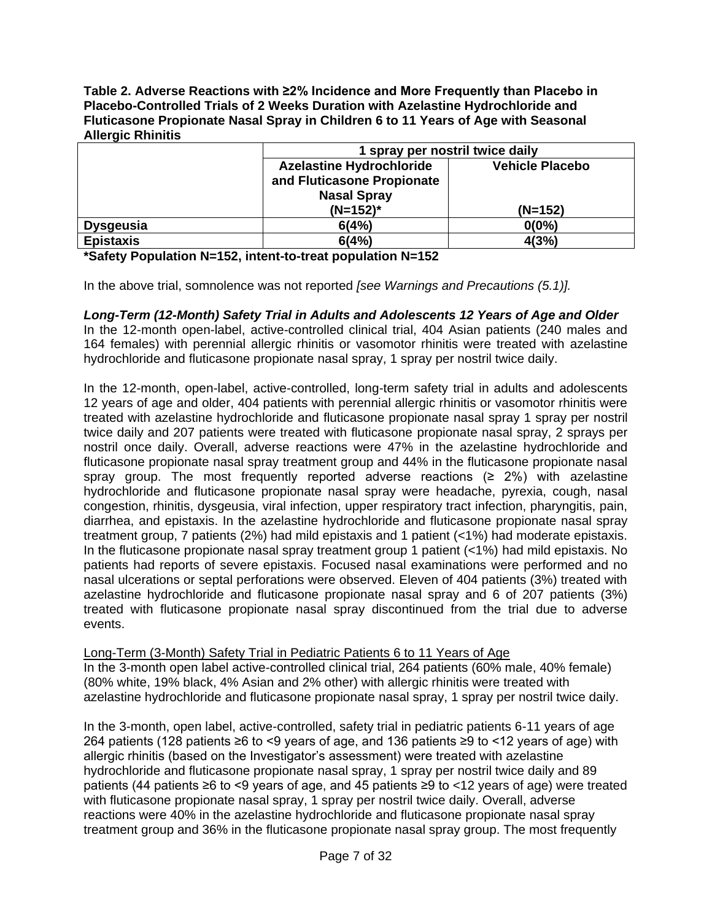**Table 2. Adverse Reactions with ≥2% Incidence and More Frequently than Placebo in Placebo-Controlled Trials of 2 Weeks Duration with Azelastine Hydrochloride and Fluticasone Propionate Nasal Spray in Children 6 to 11 Years of Age with Seasonal Allergic Rhinitis**

|                  | 1 spray per nostril twice daily                                                     |                        |  |  |
|------------------|-------------------------------------------------------------------------------------|------------------------|--|--|
|                  | <b>Azelastine Hydrochloride</b><br>and Fluticasone Propionate<br><b>Nasal Spray</b> | <b>Vehicle Placebo</b> |  |  |
|                  | $(N=152)^*$                                                                         | $(N=152)$              |  |  |
| <b>Dysgeusia</b> | 6(4%)                                                                               | 0(0%                   |  |  |
| <b>Epistaxis</b> | 6(4%)                                                                               | 4(3%)                  |  |  |

**\*Safety Population N=152, intent-to-treat population N=152**

In the above trial, somnolence was not reported *[see Warnings and Precautions (5.1)].*

*Long-Term (12-Month) Safety Trial in Adults and Adolescents 12 Years of Age and Older*

In the 12-month open-label, active-controlled clinical trial, 404 Asian patients (240 males and 164 females) with perennial allergic rhinitis or vasomotor rhinitis were treated with azelastine hydrochloride and fluticasone propionate nasal spray, 1 spray per nostril twice daily.

In the 12-month, open-label, active-controlled, long-term safety trial in adults and adolescents 12 years of age and older, 404 patients with perennial allergic rhinitis or vasomotor rhinitis were treated with azelastine hydrochloride and fluticasone propionate nasal spray 1 spray per nostril twice daily and 207 patients were treated with fluticasone propionate nasal spray, 2 sprays per nostril once daily. Overall, adverse reactions were 47% in the azelastine hydrochloride and fluticasone propionate nasal spray treatment group and 44% in the fluticasone propionate nasal spray group. The most frequently reported adverse reactions  $(2 2%)$  with azelastine hydrochloride and fluticasone propionate nasal spray were headache, pyrexia, cough, nasal congestion, rhinitis, dysgeusia, viral infection, upper respiratory tract infection, pharyngitis, pain, diarrhea, and epistaxis. In the azelastine hydrochloride and fluticasone propionate nasal spray treatment group, 7 patients (2%) had mild epistaxis and 1 patient (<1%) had moderate epistaxis. In the fluticasone propionate nasal spray treatment group 1 patient (<1%) had mild epistaxis. No patients had reports of severe epistaxis. Focused nasal examinations were performed and no nasal ulcerations or septal perforations were observed. Eleven of 404 patients (3%) treated with azelastine hydrochloride and fluticasone propionate nasal spray and 6 of 207 patients (3%) treated with fluticasone propionate nasal spray discontinued from the trial due to adverse events.

Long-Term (3-Month) Safety Trial in Pediatric Patients 6 to 11 Years of Age In the 3-month open label active-controlled clinical trial, 264 patients (60% male, 40% female) (80% white, 19% black, 4% Asian and 2% other) with allergic rhinitis were treated with azelastine hydrochloride and fluticasone propionate nasal spray, 1 spray per nostril twice daily.

In the 3-month, open label, active-controlled, safety trial in pediatric patients 6-11 years of age 264 patients (128 patients ≥6 to <9 years of age, and 136 patients ≥9 to <12 years of age) with allergic rhinitis (based on the Investigator's assessment) were treated with azelastine hydrochloride and fluticasone propionate nasal spray, 1 spray per nostril twice daily and 89 patients (44 patients ≥6 to <9 years of age, and 45 patients ≥9 to <12 years of age) were treated with fluticasone propionate nasal spray, 1 spray per nostril twice daily. Overall, adverse reactions were 40% in the azelastine hydrochloride and fluticasone propionate nasal spray treatment group and 36% in the fluticasone propionate nasal spray group. The most frequently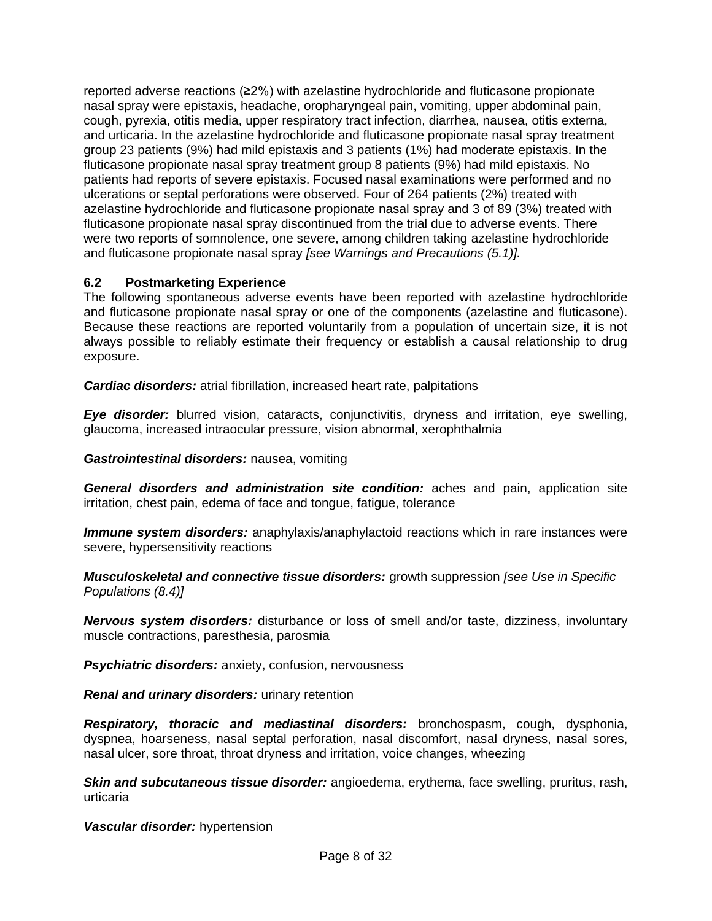reported adverse reactions (≥2%) with azelastine hydrochloride and fluticasone propionate nasal spray were epistaxis, headache, oropharyngeal pain, vomiting, upper abdominal pain, cough, pyrexia, otitis media, upper respiratory tract infection, diarrhea, nausea, otitis externa, and urticaria. In the azelastine hydrochloride and fluticasone propionate nasal spray treatment group 23 patients (9%) had mild epistaxis and 3 patients (1%) had moderate epistaxis. In the fluticasone propionate nasal spray treatment group 8 patients (9%) had mild epistaxis. No patients had reports of severe epistaxis. Focused nasal examinations were performed and no ulcerations or septal perforations were observed. Four of 264 patients (2%) treated with azelastine hydrochloride and fluticasone propionate nasal spray and 3 of 89 (3%) treated with fluticasone propionate nasal spray discontinued from the trial due to adverse events. There were two reports of somnolence, one severe, among children taking azelastine hydrochloride and fluticasone propionate nasal spray *[see Warnings and Precautions (5.1)].*

## <span id="page-7-0"></span>**6.2 Postmarketing Experience**

The following spontaneous adverse events have been reported with azelastine hydrochloride and fluticasone propionate nasal spray or one of the components (azelastine and fluticasone). Because these reactions are reported voluntarily from a population of uncertain size, it is not always possible to reliably estimate their frequency or establish a causal relationship to drug exposure.

*Cardiac disorders:* atrial fibrillation, increased heart rate, palpitations

*Eye disorder:* blurred vision, cataracts, conjunctivitis, dryness and irritation, eye swelling, glaucoma, increased intraocular pressure, vision abnormal, xerophthalmia

*Gastrointestinal disorders:* nausea, vomiting

*General disorders and administration site condition:* aches and pain, application site irritation, chest pain, edema of face and tongue, fatigue, tolerance

*Immune system disorders:* anaphylaxis/anaphylactoid reactions which in rare instances were severe, hypersensitivity reactions

*Musculoskeletal and connective tissue disorders:* growth suppression *[see Use in Specific Populations (8.4)]*

*Nervous system disorders:* disturbance or loss of smell and/or taste, dizziness, involuntary muscle contractions, paresthesia, parosmia

*Psychiatric disorders:* anxiety, confusion, nervousness

*Renal and urinary disorders:* urinary retention

*Respiratory, thoracic and mediastinal disorders:* bronchospasm, cough, dysphonia, dyspnea, hoarseness, nasal septal perforation, nasal discomfort, nasal dryness, nasal sores, nasal ulcer, sore throat, throat dryness and irritation, voice changes, wheezing

*Skin and subcutaneous tissue disorder:* angioedema, erythema, face swelling, pruritus, rash, urticaria

*Vascular disorder:* hypertension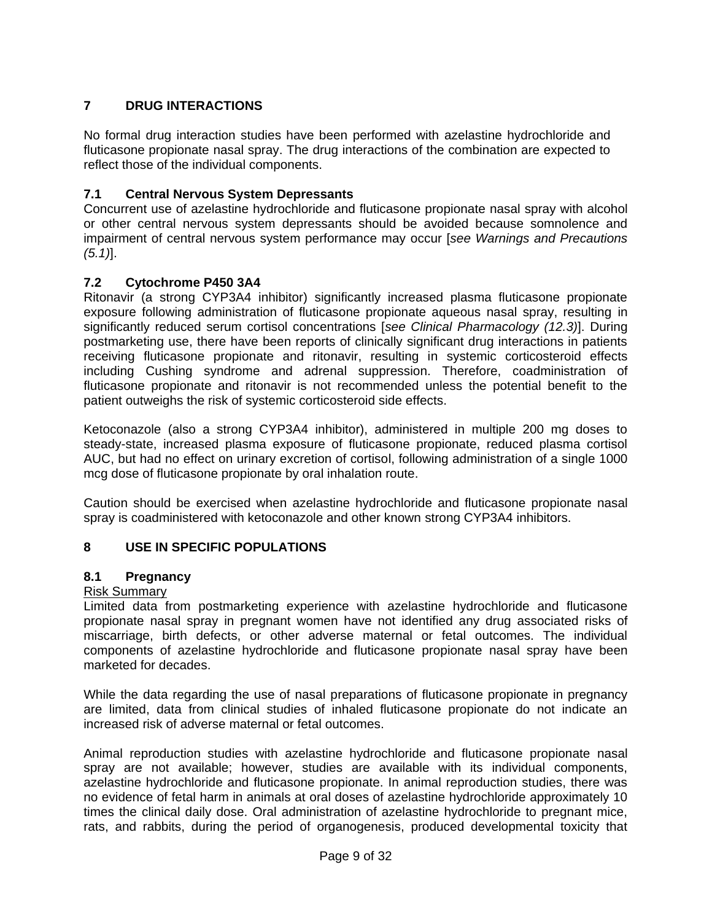# <span id="page-8-0"></span>**7 DRUG INTERACTIONS**

No formal drug interaction studies have been performed with azelastine hydrochloride and fluticasone propionate nasal spray. The drug interactions of the combination are expected to reflect those of the individual components.

## <span id="page-8-1"></span>**7.1 Central Nervous System Depressants**

Concurrent use of azelastine hydrochloride and fluticasone propionate nasal spray with alcohol or other central nervous system depressants should be avoided because somnolence and impairment of central nervous system performance may occur [*see Warnings and Precautions (5.1)*].

## <span id="page-8-2"></span>**7.2 Cytochrome P450 3A4**

Ritonavir (a strong CYP3A4 inhibitor) significantly increased plasma fluticasone propionate exposure following administration of fluticasone propionate aqueous nasal spray, resulting in significantly reduced serum cortisol concentrations [*see Clinical Pharmacology (12.3)*]. During postmarketing use, there have been reports of clinically significant drug interactions in patients receiving fluticasone propionate and ritonavir, resulting in systemic corticosteroid effects including Cushing syndrome and adrenal suppression. Therefore, coadministration of fluticasone propionate and ritonavir is not recommended unless the potential benefit to the patient outweighs the risk of systemic corticosteroid side effects.

Ketoconazole (also a strong CYP3A4 inhibitor), administered in multiple 200 mg doses to steady-state, increased plasma exposure of fluticasone propionate, reduced plasma cortisol AUC, but had no effect on urinary excretion of cortisol, following administration of a single 1000 mcg dose of fluticasone propionate by oral inhalation route.

Caution should be exercised when azelastine hydrochloride and fluticasone propionate nasal spray is coadministered with ketoconazole and other known strong CYP3A4 inhibitors.

### <span id="page-8-3"></span>**8 USE IN SPECIFIC POPULATIONS**

### <span id="page-8-4"></span>**8.1 Pregnancy**

### Risk Summary

Limited data from postmarketing experience with azelastine hydrochloride and fluticasone propionate nasal spray in pregnant women have not identified any drug associated risks of miscarriage, birth defects, or other adverse maternal or fetal outcomes. The individual components of azelastine hydrochloride and fluticasone propionate nasal spray have been marketed for decades.

While the data regarding the use of nasal preparations of fluticasone propionate in pregnancy are limited, data from clinical studies of inhaled fluticasone propionate do not indicate an increased risk of adverse maternal or fetal outcomes.

Animal reproduction studies with azelastine hydrochloride and fluticasone propionate nasal spray are not available; however, studies are available with its individual components, azelastine hydrochloride and fluticasone propionate. In animal reproduction studies, there was no evidence of fetal harm in animals at oral doses of azelastine hydrochloride approximately 10 times the clinical daily dose. Oral administration of azelastine hydrochloride to pregnant mice, rats, and rabbits, during the period of organogenesis, produced developmental toxicity that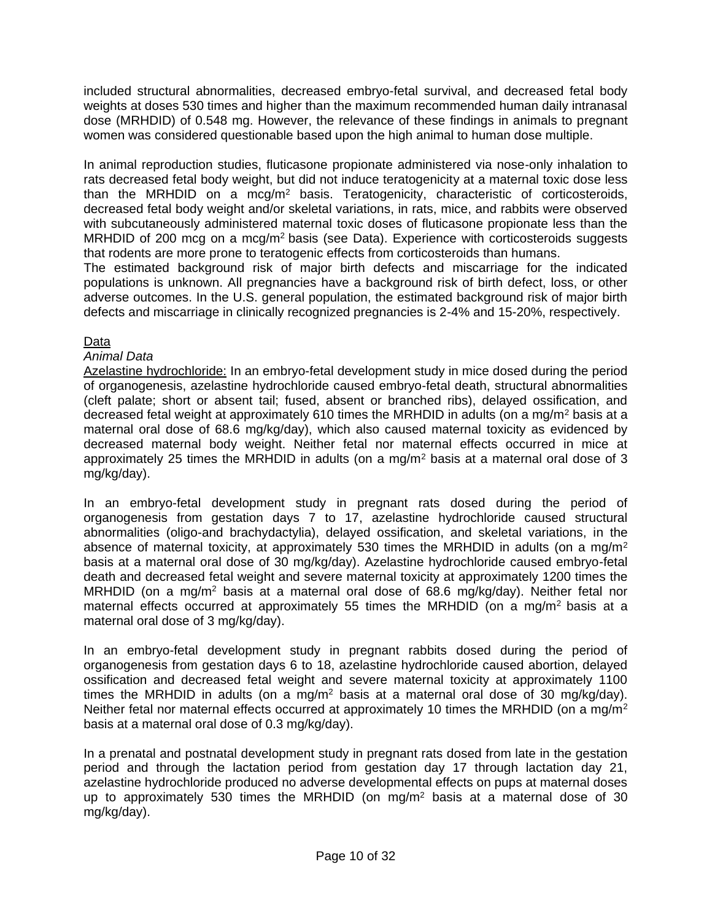included structural abnormalities, decreased embryo-fetal survival, and decreased fetal body weights at doses 530 times and higher than the maximum recommended human daily intranasal dose (MRHDID) of 0.548 mg. However, the relevance of these findings in animals to pregnant women was considered questionable based upon the high animal to human dose multiple.

In animal reproduction studies, fluticasone propionate administered via nose-only inhalation to rats decreased fetal body weight, but did not induce teratogenicity at a maternal toxic dose less than the MRHDID on a mcg/ $m<sup>2</sup>$  basis. Teratogenicity, characteristic of corticosteroids, decreased fetal body weight and/or skeletal variations, in rats, mice, and rabbits were observed with subcutaneously administered maternal toxic doses of fluticasone propionate less than the MRHDID of 200 mcg on a mcg/m<sup>2</sup> basis (see Data). Experience with corticosteroids suggests that rodents are more prone to teratogenic effects from corticosteroids than humans.

The estimated background risk of major birth defects and miscarriage for the indicated populations is unknown. All pregnancies have a background risk of birth defect, loss, or other adverse outcomes. In the U.S. general population, the estimated background risk of major birth defects and miscarriage in clinically recognized pregnancies is 2-4% and 15-20%, respectively.

# Data

# *Animal Data*

Azelastine hydrochloride: In an embryo-fetal development study in mice dosed during the period of organogenesis, azelastine hydrochloride caused embryo-fetal death, structural abnormalities (cleft palate; short or absent tail; fused, absent or branched ribs), delayed ossification, and decreased fetal weight at approximately 610 times the MRHDID in adults (on a mg/m<sup>2</sup> basis at a maternal oral dose of 68.6 mg/kg/day), which also caused maternal toxicity as evidenced by decreased maternal body weight. Neither fetal nor maternal effects occurred in mice at approximately 25 times the MRHDID in adults (on a mg/m<sup>2</sup> basis at a maternal oral dose of 3 mg/kg/day).

In an embryo-fetal development study in pregnant rats dosed during the period of organogenesis from gestation days 7 to 17, azelastine hydrochloride caused structural abnormalities (oligo-and brachydactylia), delayed ossification, and skeletal variations, in the absence of maternal toxicity, at approximately 530 times the MRHDID in adults (on a mg/m<sup>2</sup> basis at a maternal oral dose of 30 mg/kg/day). Azelastine hydrochloride caused embryo-fetal death and decreased fetal weight and severe maternal toxicity at approximately 1200 times the MRHDID (on a mg/m<sup>2</sup> basis at a maternal oral dose of 68.6 mg/kg/day). Neither fetal nor maternal effects occurred at approximately 55 times the MRHDID (on a mg/m<sup>2</sup> basis at a maternal oral dose of 3 mg/kg/day).

In an embryo-fetal development study in pregnant rabbits dosed during the period of organogenesis from gestation days 6 to 18, azelastine hydrochloride caused abortion, delayed ossification and decreased fetal weight and severe maternal toxicity at approximately 1100 times the MRHDID in adults (on a mg/m<sup>2</sup> basis at a maternal oral dose of 30 mg/kg/day). Neither fetal nor maternal effects occurred at approximately 10 times the MRHDID (on a mg/m<sup>2</sup> basis at a maternal oral dose of 0.3 mg/kg/day).

In a prenatal and postnatal development study in pregnant rats dosed from late in the gestation period and through the lactation period from gestation day 17 through lactation day 21, azelastine hydrochloride produced no adverse developmental effects on pups at maternal doses up to approximately 530 times the MRHDID (on mg/m<sup>2</sup> basis at a maternal dose of 30 mg/kg/day).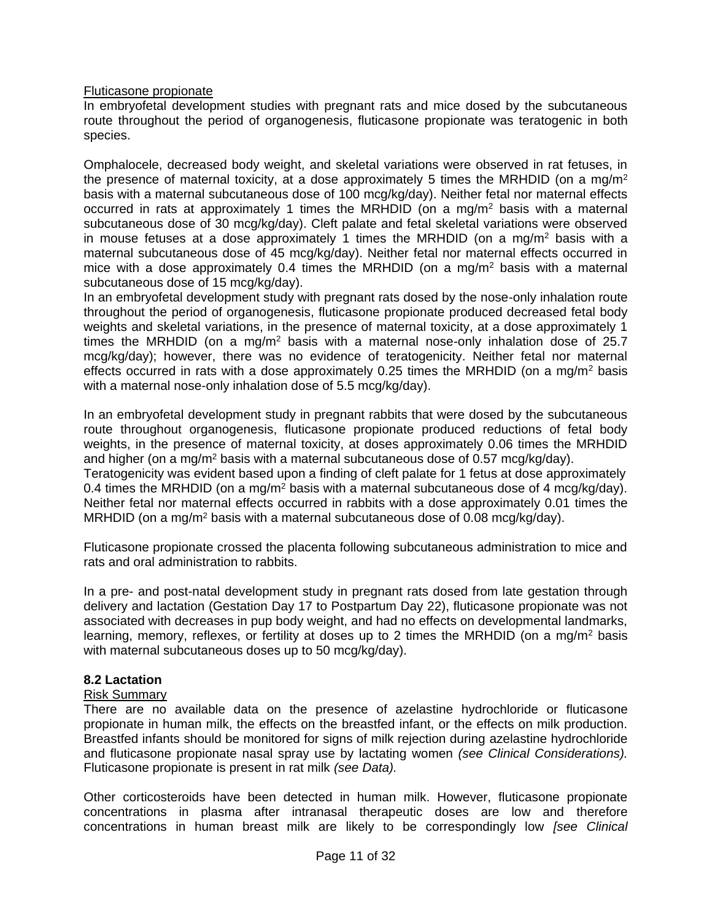Fluticasone propionate

In embryofetal development studies with pregnant rats and mice dosed by the subcutaneous route throughout the period of organogenesis, fluticasone propionate was teratogenic in both species.

Omphalocele, decreased body weight, and skeletal variations were observed in rat fetuses, in the presence of maternal toxicity, at a dose approximately 5 times the MRHDID (on a mg/m<sup>2</sup>) basis with a maternal subcutaneous dose of 100 mcg/kg/day). Neither fetal nor maternal effects occurred in rats at approximately 1 times the MRHDID (on a mg/m<sup>2</sup> basis with a maternal subcutaneous dose of 30 mcg/kg/day). Cleft palate and fetal skeletal variations were observed in mouse fetuses at a dose approximately 1 times the MRHDID (on a mg/m<sup>2</sup> basis with a maternal subcutaneous dose of 45 mcg/kg/day). Neither fetal nor maternal effects occurred in mice with a dose approximately 0.4 times the MRHDID (on a mq/m<sup>2</sup> basis with a maternal subcutaneous dose of 15 mcg/kg/day).

In an embryofetal development study with pregnant rats dosed by the nose-only inhalation route throughout the period of organogenesis, fluticasone propionate produced decreased fetal body weights and skeletal variations, in the presence of maternal toxicity, at a dose approximately 1 times the MRHDID (on a mg/m<sup>2</sup> basis with a maternal nose-only inhalation dose of 25.7 mcg/kg/day); however, there was no evidence of teratogenicity. Neither fetal nor maternal effects occurred in rats with a dose approximately  $0.25$  times the MRHDID (on a mg/m<sup>2</sup> basis with a maternal nose-only inhalation dose of 5.5 mcg/kg/day).

In an embryofetal development study in pregnant rabbits that were dosed by the subcutaneous route throughout organogenesis, fluticasone propionate produced reductions of fetal body weights, in the presence of maternal toxicity, at doses approximately 0.06 times the MRHDID and higher (on a mg/m<sup>2</sup> basis with a maternal subcutaneous dose of 0.57 mcg/kg/day).

Teratogenicity was evident based upon a finding of cleft palate for 1 fetus at dose approximately 0.4 times the MRHDID (on a mg/m<sup>2</sup> basis with a maternal subcutaneous dose of 4 mcg/kg/day). Neither fetal nor maternal effects occurred in rabbits with a dose approximately 0.01 times the MRHDID (on a mg/m<sup>2</sup> basis with a maternal subcutaneous dose of 0.08 mcg/kg/day).

Fluticasone propionate crossed the placenta following subcutaneous administration to mice and rats and oral administration to rabbits.

In a pre- and post-natal development study in pregnant rats dosed from late gestation through delivery and lactation (Gestation Day 17 to Postpartum Day 22), fluticasone propionate was not associated with decreases in pup body weight, and had no effects on developmental landmarks, learning, memory, reflexes, or fertility at doses up to 2 times the MRHDID (on a mg/m<sup>2</sup> basis with maternal subcutaneous doses up to 50 mcg/kg/day).

### <span id="page-10-0"></span>**8.2 Lactation**

### Risk Summary

There are no available data on the presence of azelastine hydrochloride or fluticasone propionate in human milk, the effects on the breastfed infant, or the effects on milk production. Breastfed infants should be monitored for signs of milk rejection during azelastine hydrochloride and fluticasone propionate nasal spray use by lactating women *(see Clinical Considerations).* Fluticasone propionate is present in rat milk *(see Data).*

Other corticosteroids have been detected in human milk. However, fluticasone propionate concentrations in plasma after intranasal therapeutic doses are low and therefore concentrations in human breast milk are likely to be correspondingly low *[see Clinical*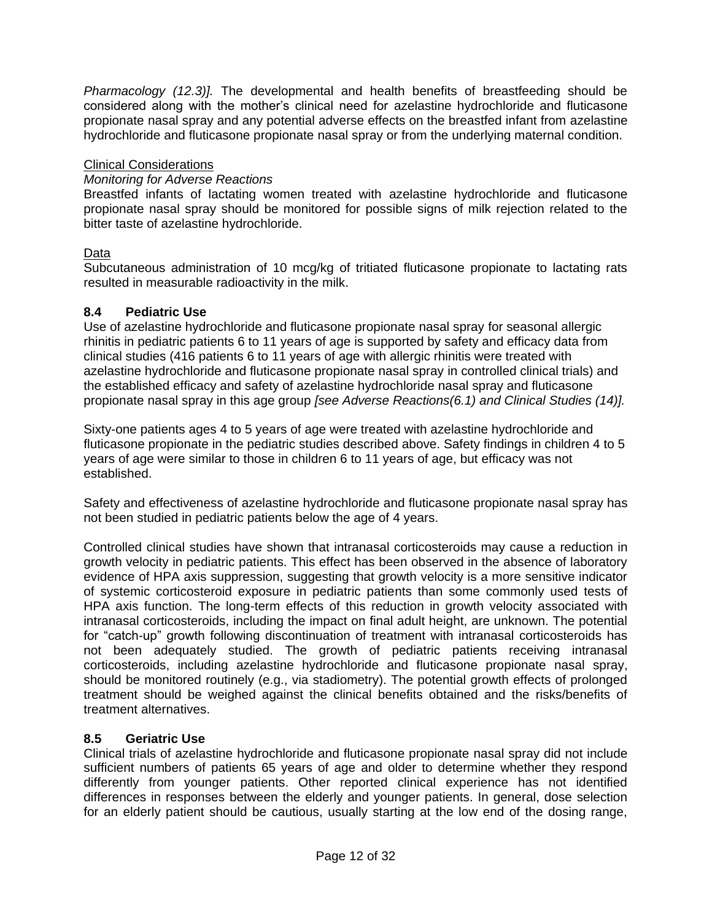*Pharmacology (12.3)].* The developmental and health benefits of breastfeeding should be considered along with the mother's clinical need for azelastine hydrochloride and fluticasone propionate nasal spray and any potential adverse effects on the breastfed infant from azelastine hydrochloride and fluticasone propionate nasal spray or from the underlying maternal condition.

## Clinical Considerations

## *Monitoring for Adverse Reactions*

Breastfed infants of lactating women treated with azelastine hydrochloride and fluticasone propionate nasal spray should be monitored for possible signs of milk rejection related to the bitter taste of azelastine hydrochloride.

# Data

Subcutaneous administration of 10 mcg/kg of tritiated fluticasone propionate to lactating rats resulted in measurable radioactivity in the milk.

## <span id="page-11-0"></span>**8.4 Pediatric Use**

Use of azelastine hydrochloride and fluticasone propionate nasal spray for seasonal allergic rhinitis in pediatric patients 6 to 11 years of age is supported by safety and efficacy data from clinical studies (416 patients 6 to 11 years of age with allergic rhinitis were treated with azelastine hydrochloride and fluticasone propionate nasal spray in controlled clinical trials) and the established efficacy and safety of azelastine hydrochloride nasal spray and fluticasone propionate nasal spray in this age group *[see Adverse Reactions(6.1) and Clinical Studies (14)].*

Sixty-one patients ages 4 to 5 years of age were treated with azelastine hydrochloride and fluticasone propionate in the pediatric studies described above. Safety findings in children 4 to 5 years of age were similar to those in children 6 to 11 years of age, but efficacy was not established.

Safety and effectiveness of azelastine hydrochloride and fluticasone propionate nasal spray has not been studied in pediatric patients below the age of 4 years.

Controlled clinical studies have shown that intranasal corticosteroids may cause a reduction in growth velocity in pediatric patients. This effect has been observed in the absence of laboratory evidence of HPA axis suppression, suggesting that growth velocity is a more sensitive indicator of systemic corticosteroid exposure in pediatric patients than some commonly used tests of HPA axis function. The long-term effects of this reduction in growth velocity associated with intranasal corticosteroids, including the impact on final adult height, are unknown. The potential for "catch-up" growth following discontinuation of treatment with intranasal corticosteroids has not been adequately studied. The growth of pediatric patients receiving intranasal corticosteroids, including azelastine hydrochloride and fluticasone propionate nasal spray, should be monitored routinely (e.g., via stadiometry). The potential growth effects of prolonged treatment should be weighed against the clinical benefits obtained and the risks/benefits of treatment alternatives.

# <span id="page-11-1"></span>**8.5 Geriatric Use**

Clinical trials of azelastine hydrochloride and fluticasone propionate nasal spray did not include sufficient numbers of patients 65 years of age and older to determine whether they respond differently from younger patients. Other reported clinical experience has not identified differences in responses between the elderly and younger patients. In general, dose selection for an elderly patient should be cautious, usually starting at the low end of the dosing range,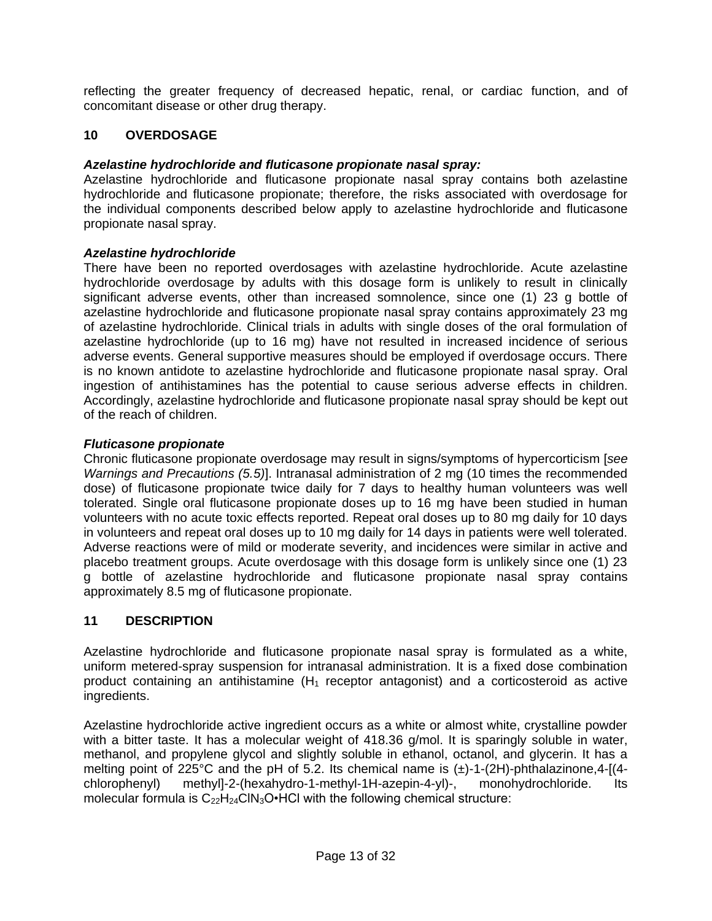reflecting the greater frequency of decreased hepatic, renal, or cardiac function, and of concomitant disease or other drug therapy.

# <span id="page-12-0"></span>**10 OVERDOSAGE**

## *Azelastine hydrochloride and fluticasone propionate nasal spray:*

Azelastine hydrochloride and fluticasone propionate nasal spray contains both azelastine hydrochloride and fluticasone propionate; therefore, the risks associated with overdosage for the individual components described below apply to azelastine hydrochloride and fluticasone propionate nasal spray.

## *Azelastine hydrochloride*

There have been no reported overdosages with azelastine hydrochloride. Acute azelastine hydrochloride overdosage by adults with this dosage form is unlikely to result in clinically significant adverse events, other than increased somnolence, since one (1) 23 g bottle of azelastine hydrochloride and fluticasone propionate nasal spray contains approximately 23 mg of azelastine hydrochloride. Clinical trials in adults with single doses of the oral formulation of azelastine hydrochloride (up to 16 mg) have not resulted in increased incidence of serious adverse events. General supportive measures should be employed if overdosage occurs. There is no known antidote to azelastine hydrochloride and fluticasone propionate nasal spray. Oral ingestion of antihistamines has the potential to cause serious adverse effects in children. Accordingly, azelastine hydrochloride and fluticasone propionate nasal spray should be kept out of the reach of children.

### *Fluticasone propionate*

Chronic fluticasone propionate overdosage may result in signs/symptoms of hypercorticism [*see Warnings and Precautions (5.5)*]. Intranasal administration of 2 mg (10 times the recommended dose) of fluticasone propionate twice daily for 7 days to healthy human volunteers was well tolerated. Single oral fluticasone propionate doses up to 16 mg have been studied in human volunteers with no acute toxic effects reported. Repeat oral doses up to 80 mg daily for 10 days in volunteers and repeat oral doses up to 10 mg daily for 14 days in patients were well tolerated. Adverse reactions were of mild or moderate severity, and incidences were similar in active and placebo treatment groups. Acute overdosage with this dosage form is unlikely since one (1) 23 g bottle of azelastine hydrochloride and fluticasone propionate nasal spray contains approximately 8.5 mg of fluticasone propionate.

# <span id="page-12-1"></span>**11 DESCRIPTION**

Azelastine hydrochloride and fluticasone propionate nasal spray is formulated as a white, uniform metered-spray suspension for intranasal administration. It is a fixed dose combination product containing an antihistamine  $(H_1)$  receptor antagonist) and a corticosteroid as active ingredients.

Azelastine hydrochloride active ingredient occurs as a white or almost white, crystalline powder with a bitter taste. It has a molecular weight of 418.36 g/mol. It is sparingly soluble in water, methanol, and propylene glycol and slightly soluble in ethanol, octanol, and glycerin. It has a melting point of 225°C and the pH of 5.2. Its chemical name is  $(\pm)$ -1-(2H)-phthalazinone,4-[(4chlorophenyl) methyl]-2-(hexahydro-1-methyl-1H-azepin-4-yl)-, monohydrochloride. Its molecular formula is  $C_{22}H_{24}CIN_3O \cdot HCl$  with the following chemical structure: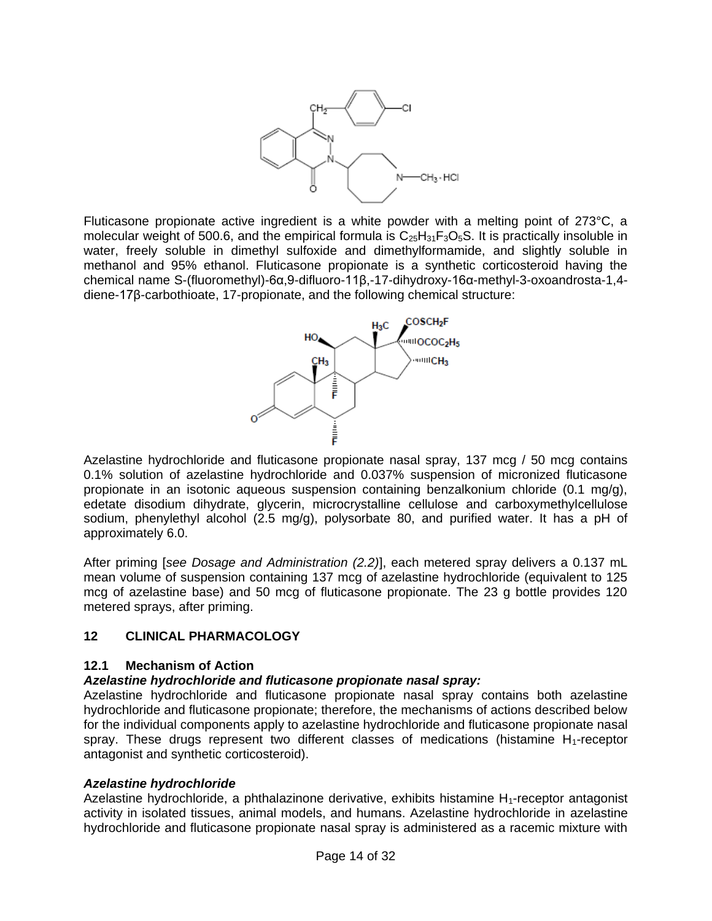

Fluticasone propionate active ingredient is a white powder with a melting point of 273°C, a molecular weight of 500.6, and the empirical formula is  $C_{25}H_{31}F_3O_5S$ . It is practically insoluble in water, freely soluble in dimethyl sulfoxide and dimethylformamide, and slightly soluble in methanol and 95% ethanol. Fluticasone propionate is a synthetic corticosteroid having the chemical name S-(fluoromethyl)-6α,9-difluoro-11β,-17-dihydroxy-16α-methyl-3-oxoandrosta-1,4 diene-17β-carbothioate, 17-propionate, and the following chemical structure:



Azelastine hydrochloride and fluticasone propionate nasal spray, 137 mcg / 50 mcg contains 0.1% solution of azelastine hydrochloride and 0.037% suspension of micronized fluticasone propionate in an isotonic aqueous suspension containing benzalkonium chloride (0.1 mg/g), edetate disodium dihydrate, glycerin, microcrystalline cellulose and carboxymethylcellulose sodium, phenylethyl alcohol (2.5 mg/g), polysorbate 80, and purified water. It has a pH of approximately 6.0.

After priming [*see Dosage and Administration (2.2)*], each metered spray delivers a 0.137 mL mean volume of suspension containing 137 mcg of azelastine hydrochloride (equivalent to 125 mcg of azelastine base) and 50 mcg of fluticasone propionate. The 23 g bottle provides 120 metered sprays, after priming.

# <span id="page-13-0"></span>**12 CLINICAL PHARMACOLOGY**

### <span id="page-13-1"></span>**12.1 Mechanism of Action**

### *Azelastine hydrochloride and fluticasone propionate nasal spray:*

Azelastine hydrochloride and fluticasone propionate nasal spray contains both azelastine hydrochloride and fluticasone propionate; therefore, the mechanisms of actions described below for the individual components apply to azelastine hydrochloride and fluticasone propionate nasal spray. These drugs represent two different classes of medications (histamine  $H_1$ -receptor antagonist and synthetic corticosteroid).

### *Azelastine hydrochloride*

Azelastine hydrochloride, a phthalazinone derivative, exhibits histamine H<sub>1</sub>-receptor antagonist activity in isolated tissues, animal models, and humans. Azelastine hydrochloride in azelastine hydrochloride and fluticasone propionate nasal spray is administered as a racemic mixture with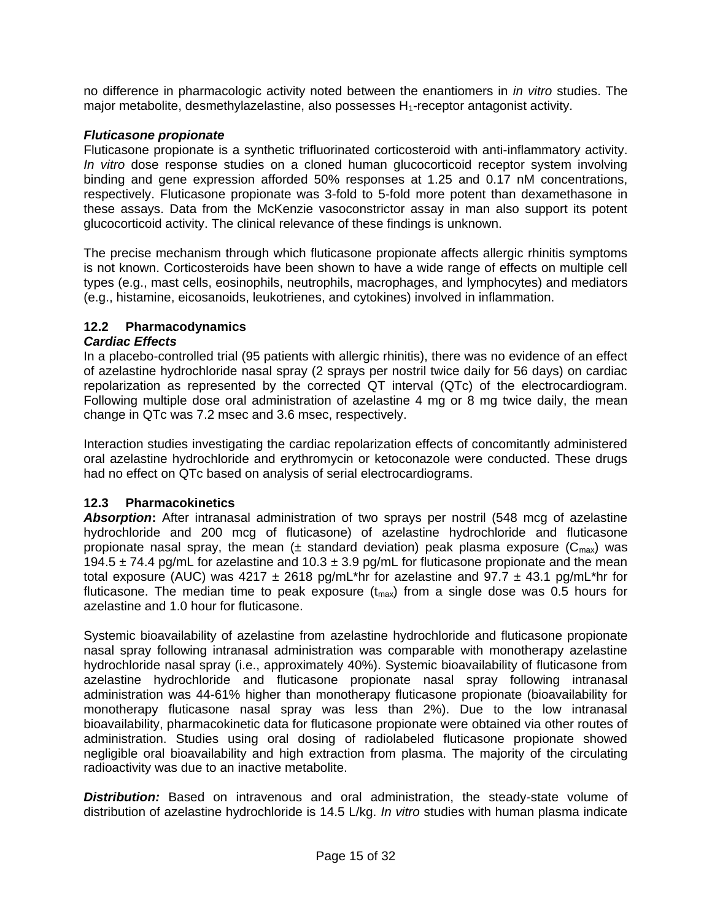no difference in pharmacologic activity noted between the enantiomers in *in vitro* studies. The major metabolite, desmethylazelastine, also possesses  $H_1$ -receptor antagonist activity.

## *Fluticasone propionate*

Fluticasone propionate is a synthetic trifluorinated corticosteroid with anti-inflammatory activity. *In vitro* dose response studies on a cloned human glucocorticoid receptor system involving binding and gene expression afforded 50% responses at 1.25 and 0.17 nM concentrations, respectively. Fluticasone propionate was 3-fold to 5-fold more potent than dexamethasone in these assays. Data from the McKenzie vasoconstrictor assay in man also support its potent glucocorticoid activity. The clinical relevance of these findings is unknown.

The precise mechanism through which fluticasone propionate affects allergic rhinitis symptoms is not known. Corticosteroids have been shown to have a wide range of effects on multiple cell types (e.g., mast cells, eosinophils, neutrophils, macrophages, and lymphocytes) and mediators (e.g., histamine, eicosanoids, leukotrienes, and cytokines) involved in inflammation.

# <span id="page-14-0"></span>**12.2 Pharmacodynamics**

## *Cardiac Effects*

In a placebo-controlled trial (95 patients with allergic rhinitis), there was no evidence of an effect of azelastine hydrochloride nasal spray (2 sprays per nostril twice daily for 56 days) on cardiac repolarization as represented by the corrected QT interval (QTc) of the electrocardiogram. Following multiple dose oral administration of azelastine 4 mg or 8 mg twice daily, the mean change in QTc was 7.2 msec and 3.6 msec, respectively.

Interaction studies investigating the cardiac repolarization effects of concomitantly administered oral azelastine hydrochloride and erythromycin or ketoconazole were conducted. These drugs had no effect on QTc based on analysis of serial electrocardiograms.

# <span id="page-14-1"></span>**12.3 Pharmacokinetics**

**Absorption:** After intranasal administration of two sprays per nostril (548 mcg of azelastine hydrochloride and 200 mcg of fluticasone) of azelastine hydrochloride and fluticasone propionate nasal spray, the mean  $(\pm$  standard deviation) peak plasma exposure  $(C_{\text{max}})$  was 194.5  $\pm$  74.4 pg/mL for azelastine and 10.3  $\pm$  3.9 pg/mL for fluticasone propionate and the mean total exposure (AUC) was 4217  $\pm$  2618 pg/mL\*hr for azelastine and 97.7  $\pm$  43.1 pg/mL\*hr for fluticasone. The median time to peak exposure  $(t_{max})$  from a single dose was 0.5 hours for azelastine and 1.0 hour for fluticasone.

Systemic bioavailability of azelastine from azelastine hydrochloride and fluticasone propionate nasal spray following intranasal administration was comparable with monotherapy azelastine hydrochloride nasal spray (i.e., approximately 40%). Systemic bioavailability of fluticasone from azelastine hydrochloride and fluticasone propionate nasal spray following intranasal administration was 44-61% higher than monotherapy fluticasone propionate (bioavailability for monotherapy fluticasone nasal spray was less than 2%). Due to the low intranasal bioavailability, pharmacokinetic data for fluticasone propionate were obtained via other routes of administration. Studies using oral dosing of radiolabeled fluticasone propionate showed negligible oral bioavailability and high extraction from plasma. The majority of the circulating radioactivity was due to an inactive metabolite.

*Distribution:* Based on intravenous and oral administration, the steady-state volume of distribution of azelastine hydrochloride is 14.5 L/kg. *In vitro* studies with human plasma indicate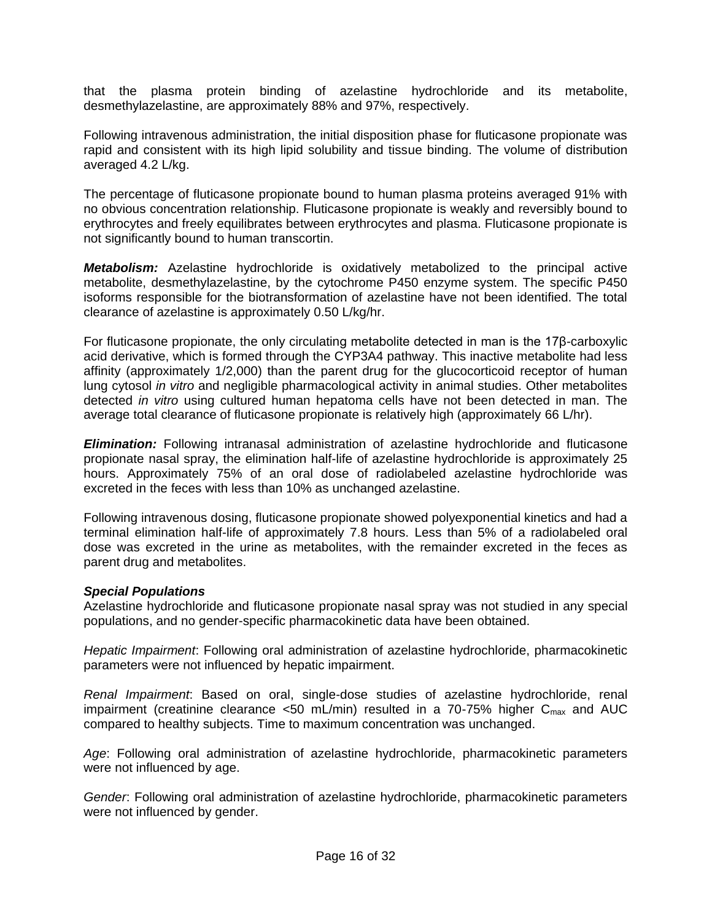that the plasma protein binding of azelastine hydrochloride and its metabolite, desmethylazelastine, are approximately 88% and 97%, respectively.

Following intravenous administration, the initial disposition phase for fluticasone propionate was rapid and consistent with its high lipid solubility and tissue binding. The volume of distribution averaged 4.2 L/kg.

The percentage of fluticasone propionate bound to human plasma proteins averaged 91% with no obvious concentration relationship. Fluticasone propionate is weakly and reversibly bound to erythrocytes and freely equilibrates between erythrocytes and plasma. Fluticasone propionate is not significantly bound to human transcortin.

*Metabolism:* Azelastine hydrochloride is oxidatively metabolized to the principal active metabolite, desmethylazelastine, by the cytochrome P450 enzyme system. The specific P450 isoforms responsible for the biotransformation of azelastine have not been identified. The total clearance of azelastine is approximately 0.50 L/kg/hr.

For fluticasone propionate, the only circulating metabolite detected in man is the 17β-carboxylic acid derivative, which is formed through the CYP3A4 pathway. This inactive metabolite had less affinity (approximately 1/2,000) than the parent drug for the glucocorticoid receptor of human lung cytosol *in vitro* and negligible pharmacological activity in animal studies. Other metabolites detected *in vitro* using cultured human hepatoma cells have not been detected in man. The average total clearance of fluticasone propionate is relatively high (approximately 66 L/hr).

*Elimination:* Following intranasal administration of azelastine hydrochloride and fluticasone propionate nasal spray, the elimination half-life of azelastine hydrochloride is approximately 25 hours. Approximately 75% of an oral dose of radiolabeled azelastine hydrochloride was excreted in the feces with less than 10% as unchanged azelastine.

Following intravenous dosing, fluticasone propionate showed polyexponential kinetics and had a terminal elimination half-life of approximately 7.8 hours. Less than 5% of a radiolabeled oral dose was excreted in the urine as metabolites, with the remainder excreted in the feces as parent drug and metabolites.

### *Special Populations*

Azelastine hydrochloride and fluticasone propionate nasal spray was not studied in any special populations, and no gender-specific pharmacokinetic data have been obtained.

*Hepatic Impairment*: Following oral administration of azelastine hydrochloride, pharmacokinetic parameters were not influenced by hepatic impairment.

*Renal Impairment*: Based on oral, single-dose studies of azelastine hydrochloride, renal impairment (creatinine clearance  $\lt$  50 mL/min) resulted in a 70-75% higher C<sub>max</sub> and AUC compared to healthy subjects. Time to maximum concentration was unchanged.

*Age*: Following oral administration of azelastine hydrochloride, pharmacokinetic parameters were not influenced by age.

*Gender*: Following oral administration of azelastine hydrochloride, pharmacokinetic parameters were not influenced by gender.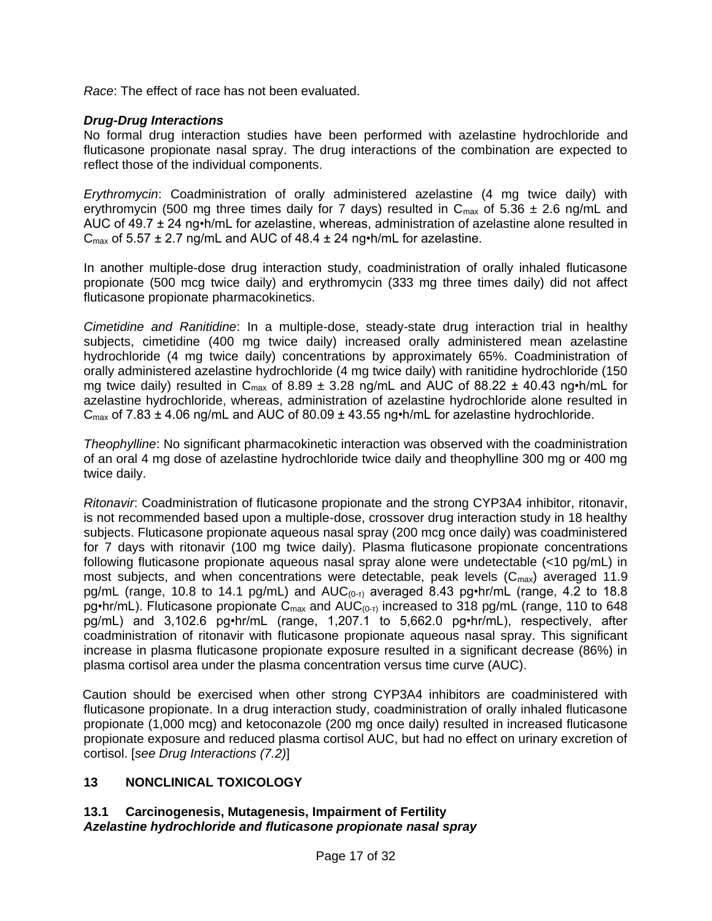*Race*: The effect of race has not been evaluated.

# *Drug-Drug Interactions*

No formal drug interaction studies have been performed with azelastine hydrochloride and fluticasone propionate nasal spray. The drug interactions of the combination are expected to reflect those of the individual components.

*Erythromycin*: Coadministration of orally administered azelastine (4 mg twice daily) with erythromycin (500 mg three times daily for 7 days) resulted in  $C_{\text{max}}$  of 5.36  $\pm$  2.6 ng/mL and AUC of 49.7 ± 24 ng•h/mL for azelastine, whereas, administration of azelastine alone resulted in  $C_{\text{max}}$  of 5.57  $\pm$  2.7 ng/mL and AUC of 48.4  $\pm$  24 ng•h/mL for azelastine.

In another multiple-dose drug interaction study, coadministration of orally inhaled fluticasone propionate (500 mcg twice daily) and erythromycin (333 mg three times daily) did not affect fluticasone propionate pharmacokinetics.

*Cimetidine and Ranitidine*: In a multiple-dose, steady-state drug interaction trial in healthy subjects, cimetidine (400 mg twice daily) increased orally administered mean azelastine hydrochloride (4 mg twice daily) concentrations by approximately 65%. Coadministration of orally administered azelastine hydrochloride (4 mg twice daily) with ranitidine hydrochloride (150 mg twice daily) resulted in C<sub>max</sub> of 8.89  $\pm$  3.28 ng/mL and AUC of 88.22  $\pm$  40.43 ng•h/mL for azelastine hydrochloride, whereas, administration of azelastine hydrochloride alone resulted in  $C_{\text{max}}$  of 7.83  $\pm$  4.06 ng/mL and AUC of 80.09  $\pm$  43.55 ng•h/mL for azelastine hydrochloride.

*Theophylline*: No significant pharmacokinetic interaction was observed with the coadministration of an oral 4 mg dose of azelastine hydrochloride twice daily and theophylline 300 mg or 400 mg twice daily.

*Ritonavir*: Coadministration of fluticasone propionate and the strong CYP3A4 inhibitor, ritonavir, is not recommended based upon a multiple-dose, crossover drug interaction study in 18 healthy subjects. Fluticasone propionate aqueous nasal spray (200 mcg once daily) was coadministered for 7 days with ritonavir (100 mg twice daily). Plasma fluticasone propionate concentrations following fluticasone propionate aqueous nasal spray alone were undetectable (<10 pg/mL) in most subjects, and when concentrations were detectable, peak levels  $(C_{\text{max}})$  averaged 11.9 pg/mL (range, 10.8 to 14.1 pg/mL) and  $AUC_{(0-1)}$  averaged 8.43 pg•hr/mL (range, 4.2 to 18.8 pg•hr/mL). Fluticasone propionate  $C_{\text{max}}$  and  $AUC_{(0-1)}$  increased to 318 pg/mL (range, 110 to 648 pg/mL) and 3,102.6 pg•hr/mL (range, 1,207.1 to 5,662.0 pg•hr/mL), respectively, after coadministration of ritonavir with fluticasone propionate aqueous nasal spray. This significant increase in plasma fluticasone propionate exposure resulted in a significant decrease (86%) in plasma cortisol area under the plasma concentration versus time curve (AUC).

Caution should be exercised when other strong CYP3A4 inhibitors are coadministered with fluticasone propionate. In a drug interaction study, coadministration of orally inhaled fluticasone propionate (1,000 mcg) and ketoconazole (200 mg once daily) resulted in increased fluticasone propionate exposure and reduced plasma cortisol AUC, but had no effect on urinary excretion of cortisol. [*see Drug Interactions (7.2)*]

# <span id="page-16-0"></span>**13 NONCLINICAL TOXICOLOGY**

## <span id="page-16-1"></span>**13.1 Carcinogenesis, Mutagenesis, Impairment of Fertility**  *Azelastine hydrochloride and fluticasone propionate nasal spray*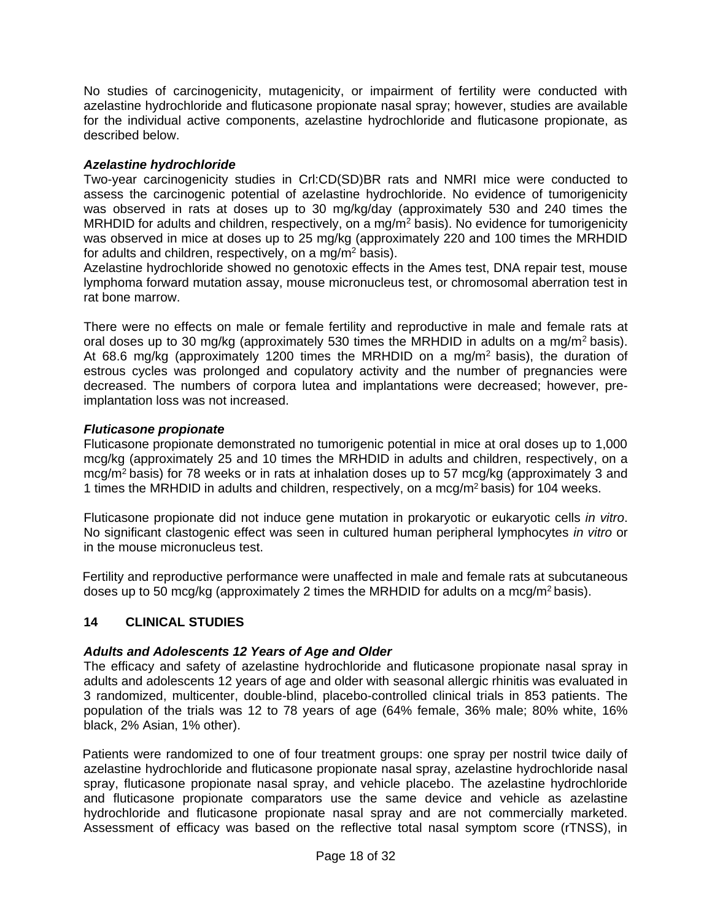No studies of carcinogenicity, mutagenicity, or impairment of fertility were conducted with azelastine hydrochloride and fluticasone propionate nasal spray; however, studies are available for the individual active components, azelastine hydrochloride and fluticasone propionate, as described below.

### *Azelastine hydrochloride*

Two-year carcinogenicity studies in Crl:CD(SD)BR rats and NMRI mice were conducted to assess the carcinogenic potential of azelastine hydrochloride. No evidence of tumorigenicity was observed in rats at doses up to 30 mg/kg/day (approximately 530 and 240 times the MRHDID for adults and children, respectively, on a mg/m<sup>2</sup> basis). No evidence for tumorigenicity was observed in mice at doses up to 25 mg/kg (approximately 220 and 100 times the MRHDID for adults and children, respectively, on a mg/ $m<sup>2</sup>$  basis).

Azelastine hydrochloride showed no genotoxic effects in the Ames test, DNA repair test, mouse lymphoma forward mutation assay, mouse micronucleus test, or chromosomal aberration test in rat bone marrow.

There were no effects on male or female fertility and reproductive in male and female rats at oral doses up to 30 mg/kg (approximately 530 times the MRHDID in adults on a mg/m<sup>2</sup> basis). At 68.6 mg/kg (approximately 1200 times the MRHDID on a mg/m<sup>2</sup> basis), the duration of estrous cycles was prolonged and copulatory activity and the number of pregnancies were decreased. The numbers of corpora lutea and implantations were decreased; however, preimplantation loss was not increased.

## *Fluticasone propionate*

Fluticasone propionate demonstrated no tumorigenic potential in mice at oral doses up to 1,000 mcg/kg (approximately 25 and 10 times the MRHDID in adults and children, respectively, on a mcg/m<sup>2</sup> basis) for 78 weeks or in rats at inhalation doses up to 57 mcg/kg (approximately 3 and 1 times the MRHDID in adults and children, respectively, on a mcg/m<sup>2</sup> basis) for 104 weeks.

Fluticasone propionate did not induce gene mutation in prokaryotic or eukaryotic cells *in vitro*. No significant clastogenic effect was seen in cultured human peripheral lymphocytes *in vitro* or in the mouse micronucleus test.

Fertility and reproductive performance were unaffected in male and female rats at subcutaneous doses up to 50 mcg/kg (approximately 2 times the MRHDID for adults on a mcg/m<sup>2</sup> basis).

# <span id="page-17-0"></span>**14 CLINICAL STUDIES**

### *Adults and Adolescents 12 Years of Age and Older*

The efficacy and safety of azelastine hydrochloride and fluticasone propionate nasal spray in adults and adolescents 12 years of age and older with seasonal allergic rhinitis was evaluated in 3 randomized, multicenter, double-blind, placebo-controlled clinical trials in 853 patients. The population of the trials was 12 to 78 years of age (64% female, 36% male; 80% white, 16% black, 2% Asian, 1% other).

Patients were randomized to one of four treatment groups: one spray per nostril twice daily of azelastine hydrochloride and fluticasone propionate nasal spray, azelastine hydrochloride nasal spray, fluticasone propionate nasal spray, and vehicle placebo. The azelastine hydrochloride and fluticasone propionate comparators use the same device and vehicle as azelastine hydrochloride and fluticasone propionate nasal spray and are not commercially marketed. Assessment of efficacy was based on the reflective total nasal symptom score (rTNSS), in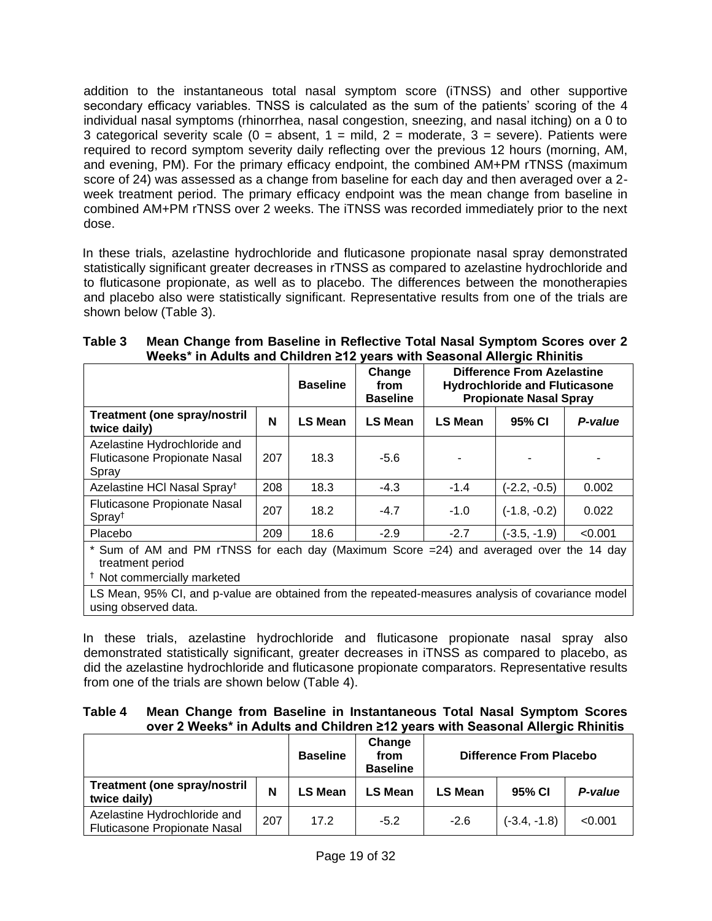addition to the instantaneous total nasal symptom score (iTNSS) and other supportive secondary efficacy variables. TNSS is calculated as the sum of the patients' scoring of the 4 individual nasal symptoms (rhinorrhea, nasal congestion, sneezing, and nasal itching) on a 0 to 3 categorical severity scale (0 = absent, 1 = mild, 2 = moderate, 3 = severe). Patients were required to record symptom severity daily reflecting over the previous 12 hours (morning, AM, and evening, PM). For the primary efficacy endpoint, the combined AM+PM rTNSS (maximum score of 24) was assessed as a change from baseline for each day and then averaged over a 2 week treatment period. The primary efficacy endpoint was the mean change from baseline in combined AM+PM rTNSS over 2 weeks. The iTNSS was recorded immediately prior to the next dose.

In these trials, azelastine hydrochloride and fluticasone propionate nasal spray demonstrated statistically significant greater decreases in rTNSS as compared to azelastine hydrochloride and to fluticasone propionate, as well as to placebo. The differences between the monotherapies and placebo also were statistically significant. Representative results from one of the trials are shown below (Table 3).

|                                                                                         |     | <b>Baseline</b> | Change<br>from<br><b>Baseline</b> | <b>Difference From Azelastine</b><br><b>Hydrochloride and Fluticasone</b><br><b>Propionate Nasal Spray</b> |                |         |
|-----------------------------------------------------------------------------------------|-----|-----------------|-----------------------------------|------------------------------------------------------------------------------------------------------------|----------------|---------|
| <b>Treatment (one spray/nostril</b><br>twice daily)                                     | N   | <b>LS Mean</b>  | <b>LS Mean</b>                    | <b>LS Mean</b>                                                                                             | 95% CI         | P-value |
| Azelastine Hydrochloride and<br>Fluticasone Propionate Nasal<br>Spray                   | 207 | 18.3            | $-5.6$                            |                                                                                                            |                |         |
| Azelastine HCI Nasal Spray <sup>†</sup>                                                 | 208 | 18.3            | $-4.3$                            | $-1.4$                                                                                                     | $(-2.2, -0.5)$ | 0.002   |
| Fluticasone Propionate Nasal<br>Spray <sup>†</sup>                                      | 207 | 18.2            | $-4.7$                            | $-1.0$                                                                                                     | $(-1.8, -0.2)$ | 0.022   |
| Placebo                                                                                 | 209 | 18.6            | $-2.9$                            | $-2.7$                                                                                                     | $(-3.5, -1.9)$ | < 0.001 |
| * Sum of AM and PM rTNSS for each day (Maximum Score = 24) and averaged over the 14 day |     |                 |                                   |                                                                                                            |                |         |

#### **Table 3 Mean Change from Baseline in Reflective Total Nasal Symptom Scores over 2 Weeks\* in Adults and Children ≥12 years with Seasonal Allergic Rhinitis**

treatment period † Not commercially marketed

LS Mean, 95% CI, and p-value are obtained from the repeated-measures analysis of covariance model using observed data.

In these trials, azelastine hydrochloride and fluticasone propionate nasal spray also demonstrated statistically significant, greater decreases in iTNSS as compared to placebo, as did the azelastine hydrochloride and fluticasone propionate comparators. Representative results from one of the trials are shown below (Table 4).

## **Table 4 Mean Change from Baseline in Instantaneous Total Nasal Symptom Scores over 2 Weeks\* in Adults and Children ≥12 years with Seasonal Allergic Rhinitis**

|                                                                     |     | <b>Baseline</b> | Change<br>from<br><b>Baseline</b> |         | <b>Difference From Placebo</b> |         |
|---------------------------------------------------------------------|-----|-----------------|-----------------------------------|---------|--------------------------------|---------|
| <b>Treatment (one spray/nostril</b><br>twice daily)                 | N   | <b>LS Mean</b>  | <b>LS Mean</b>                    | LS Mean | 95% CI                         | P-value |
| Azelastine Hydrochloride and<br><b>Fluticasone Propionate Nasal</b> | 207 | 17.2            | $-5.2$                            | $-2.6$  | $(-3.4, -1.8)$                 | < 0.001 |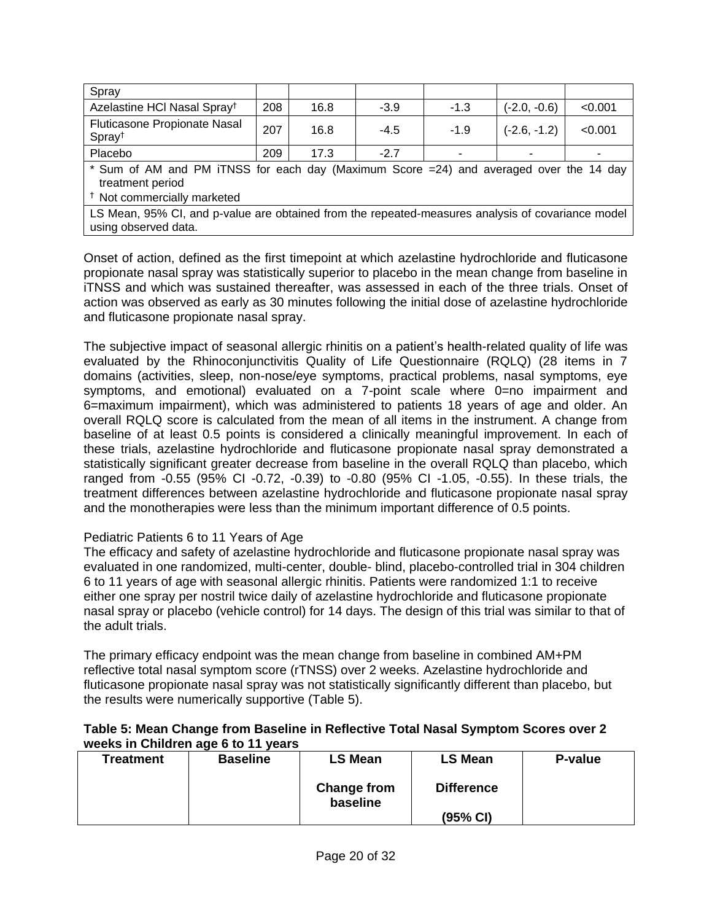| Spray                                                                                                       |     |      |        |                          |                |         |
|-------------------------------------------------------------------------------------------------------------|-----|------|--------|--------------------------|----------------|---------|
| Azelastine HCI Nasal Spray <sup>†</sup>                                                                     | 208 | 16.8 | $-3.9$ | $-1.3$                   | $(-2.0, -0.6)$ | < 0.001 |
| Fluticasone Propionate Nasal<br>$Spray^{\dagger}$                                                           | 207 | 16.8 | $-4.5$ | $-1.9$                   | $(-2.6, -1.2)$ | < 0.001 |
| Placebo                                                                                                     | 209 | 17.3 | $-2.7$ | $\overline{\phantom{a}}$ |                |         |
| * Sum of AM and PM iTNSS for each day (Maximum Score = 24) and averaged over the 14 day<br>treatment period |     |      |        |                          |                |         |

† Not commercially marketed

LS Mean, 95% CI, and p-value are obtained from the repeated-measures analysis of covariance model using observed data.

Onset of action, defined as the first timepoint at which azelastine hydrochloride and fluticasone propionate nasal spray was statistically superior to placebo in the mean change from baseline in iTNSS and which was sustained thereafter, was assessed in each of the three trials. Onset of action was observed as early as 30 minutes following the initial dose of azelastine hydrochloride and fluticasone propionate nasal spray.

The subjective impact of seasonal allergic rhinitis on a patient's health-related quality of life was evaluated by the Rhinoconjunctivitis Quality of Life Questionnaire (RQLQ) (28 items in 7 domains (activities, sleep, non-nose/eye symptoms, practical problems, nasal symptoms, eye symptoms, and emotional) evaluated on a 7-point scale where 0=no impairment and 6=maximum impairment), which was administered to patients 18 years of age and older. An overall RQLQ score is calculated from the mean of all items in the instrument. A change from baseline of at least 0.5 points is considered a clinically meaningful improvement. In each of these trials, azelastine hydrochloride and fluticasone propionate nasal spray demonstrated a statistically significant greater decrease from baseline in the overall RQLQ than placebo, which ranged from -0.55 (95% CI -0.72, -0.39) to -0.80 (95% CI -1.05, -0.55). In these trials, the treatment differences between azelastine hydrochloride and fluticasone propionate nasal spray and the monotherapies were less than the minimum important difference of 0.5 points.

### Pediatric Patients 6 to 11 Years of Age

The efficacy and safety of azelastine hydrochloride and fluticasone propionate nasal spray was evaluated in one randomized, multi-center, double- blind, placebo-controlled trial in 304 children 6 to 11 years of age with seasonal allergic rhinitis. Patients were randomized 1:1 to receive either one spray per nostril twice daily of azelastine hydrochloride and fluticasone propionate nasal spray or placebo (vehicle control) for 14 days. The design of this trial was similar to that of the adult trials.

The primary efficacy endpoint was the mean change from baseline in combined AM+PM reflective total nasal symptom score (rTNSS) over 2 weeks. Azelastine hydrochloride and fluticasone propionate nasal spray was not statistically significantly different than placebo, but the results were numerically supportive (Table 5).

#### **Table 5: Mean Change from Baseline in Reflective Total Nasal Symptom Scores over 2 weeks in Children age 6 to 11 years**

| <b>Treatment</b> | <b>Baseline</b> | <b>LS Mean</b>                 | <b>LS Mean</b>    | P-value |
|------------------|-----------------|--------------------------------|-------------------|---------|
|                  |                 | <b>Change from</b><br>baseline | <b>Difference</b> |         |
|                  |                 |                                | (95% CI)          |         |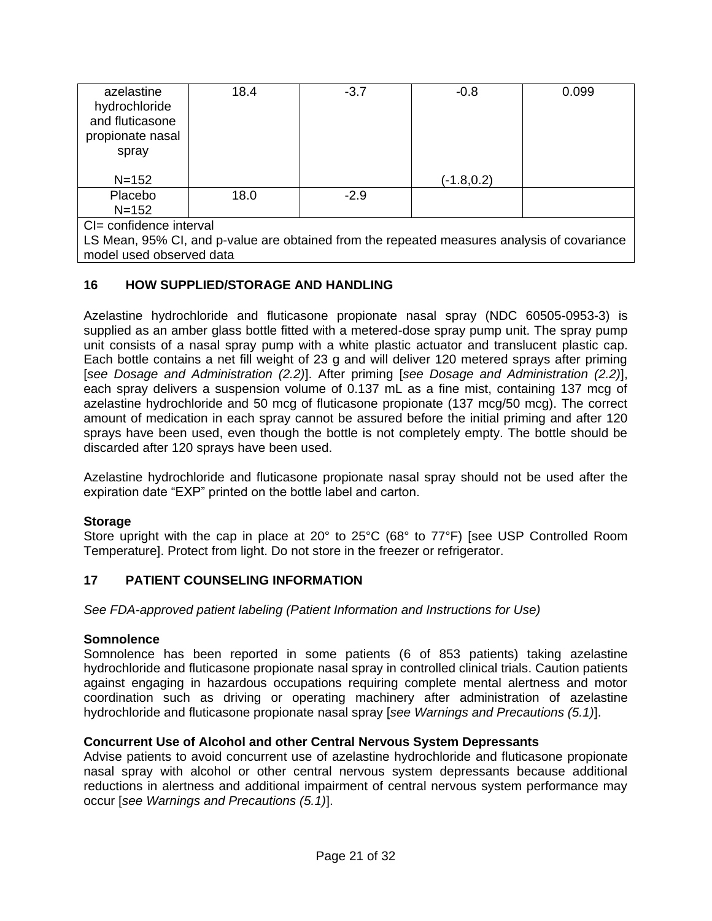| azelastine<br>hydrochloride<br>and fluticasone<br>propionate nasal<br>spray | 18.4 | $-3.7$ | $-0.8$        | 0.099 |
|-----------------------------------------------------------------------------|------|--------|---------------|-------|
| $N = 152$                                                                   |      |        | $(-1.8, 0.2)$ |       |
| Placebo                                                                     | 18.0 | $-2.9$ |               |       |
| $N = 152$                                                                   |      |        |               |       |
| CI= confidence interval                                                     |      |        |               |       |

LS Mean, 95% CI, and p-value are obtained from the repeated measures analysis of covariance

model used observed data

# <span id="page-20-0"></span>**16 HOW SUPPLIED/STORAGE AND HANDLING**

Azelastine hydrochloride and fluticasone propionate nasal spray (NDC 60505-0953-3) is supplied as an amber glass bottle fitted with a metered-dose spray pump unit. The spray pump unit consists of a nasal spray pump with a white plastic actuator and translucent plastic cap. Each bottle contains a net fill weight of 23 g and will deliver 120 metered sprays after priming [*see Dosage and Administration (2.2)*]. After priming [*see Dosage and Administration (2.2)*], each spray delivers a suspension volume of 0.137 mL as a fine mist, containing 137 mcg of azelastine hydrochloride and 50 mcg of fluticasone propionate (137 mcg/50 mcg). The correct amount of medication in each spray cannot be assured before the initial priming and after 120 sprays have been used, even though the bottle is not completely empty. The bottle should be discarded after 120 sprays have been used.

Azelastine hydrochloride and fluticasone propionate nasal spray should not be used after the expiration date "EXP" printed on the bottle label and carton.

# **Storage**

Store upright with the cap in place at 20° to 25°C (68° to 77°F) [see USP Controlled Room Temperature]. Protect from light. Do not store in the freezer or refrigerator.

# <span id="page-20-1"></span>**17 PATIENT COUNSELING INFORMATION**

*See FDA-approved patient labeling (Patient Information and Instructions for Use)* 

# **Somnolence**

Somnolence has been reported in some patients (6 of 853 patients) taking azelastine hydrochloride and fluticasone propionate nasal spray in controlled clinical trials. Caution patients against engaging in hazardous occupations requiring complete mental alertness and motor coordination such as driving or operating machinery after administration of azelastine hydrochloride and fluticasone propionate nasal spray [*see Warnings and Precautions (5.1)*].

# **Concurrent Use of Alcohol and other Central Nervous System Depressants**

Advise patients to avoid concurrent use of azelastine hydrochloride and fluticasone propionate nasal spray with alcohol or other central nervous system depressants because additional reductions in alertness and additional impairment of central nervous system performance may occur [*see Warnings and Precautions (5.1)*].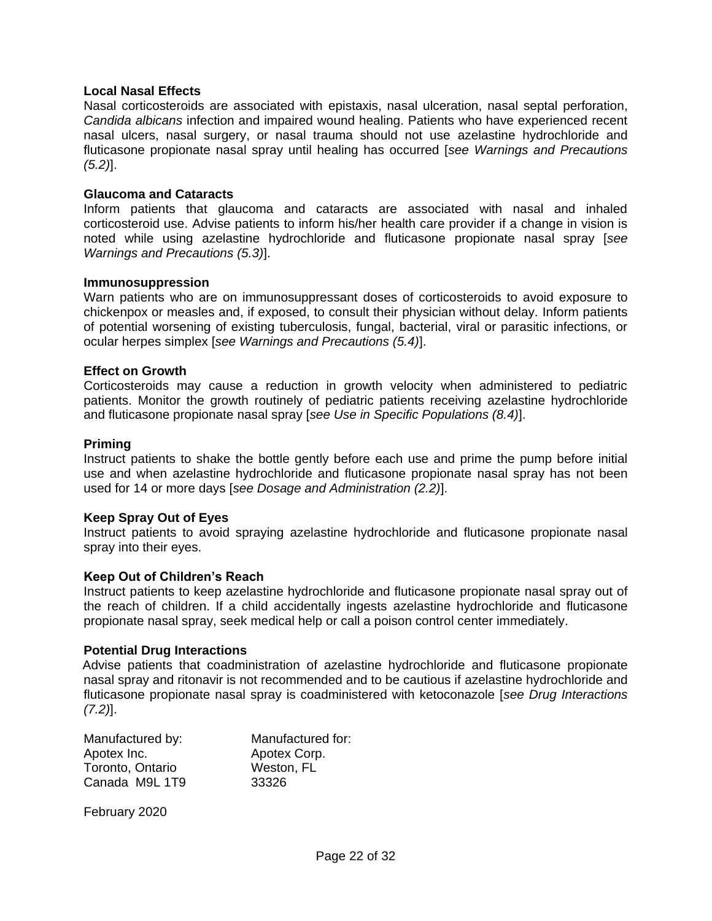#### **Local Nasal Effects**

Nasal corticosteroids are associated with epistaxis, nasal ulceration, nasal septal perforation, *Candida albicans* infection and impaired wound healing. Patients who have experienced recent nasal ulcers, nasal surgery, or nasal trauma should not use azelastine hydrochloride and fluticasone propionate nasal spray until healing has occurred [*see Warnings and Precautions (5.2)*].

#### **Glaucoma and Cataracts**

Inform patients that glaucoma and cataracts are associated with nasal and inhaled corticosteroid use. Advise patients to inform his/her health care provider if a change in vision is noted while using azelastine hydrochloride and fluticasone propionate nasal spray [*see Warnings and Precautions (5.3)*].

#### **Immunosuppression**

Warn patients who are on immunosuppressant doses of corticosteroids to avoid exposure to chickenpox or measles and, if exposed, to consult their physician without delay. Inform patients of potential worsening of existing tuberculosis, fungal, bacterial, viral or parasitic infections, or ocular herpes simplex [*see Warnings and Precautions (5.4)*].

#### **Effect on Growth**

Corticosteroids may cause a reduction in growth velocity when administered to pediatric patients. Monitor the growth routinely of pediatric patients receiving azelastine hydrochloride and fluticasone propionate nasal spray [*see Use in Specific Populations (8.4)*].

#### **Priming**

Instruct patients to shake the bottle gently before each use and prime the pump before initial use and when azelastine hydrochloride and fluticasone propionate nasal spray has not been used for 14 or more days [*see Dosage and Administration (2.2)*].

#### **Keep Spray Out of Eyes**

Instruct patients to avoid spraying azelastine hydrochloride and fluticasone propionate nasal spray into their eyes.

#### **Keep Out of Children's Reach**

Instruct patients to keep azelastine hydrochloride and fluticasone propionate nasal spray out of the reach of children. If a child accidentally ingests azelastine hydrochloride and fluticasone propionate nasal spray, seek medical help or call a poison control center immediately.

#### **Potential Drug Interactions**

Advise patients that coadministration of azelastine hydrochloride and fluticasone propionate nasal spray and ritonavir is not recommended and to be cautious if azelastine hydrochloride and fluticasone propionate nasal spray is coadministered with ketoconazole [*see Drug Interactions (7.2)*].

| Manufactured by: | Manufactured for: |
|------------------|-------------------|
| Apotex Inc.      | Apotex Corp.      |
| Toronto, Ontario | Weston, FL        |
| Canada M9L 1T9   | 33326             |

February 2020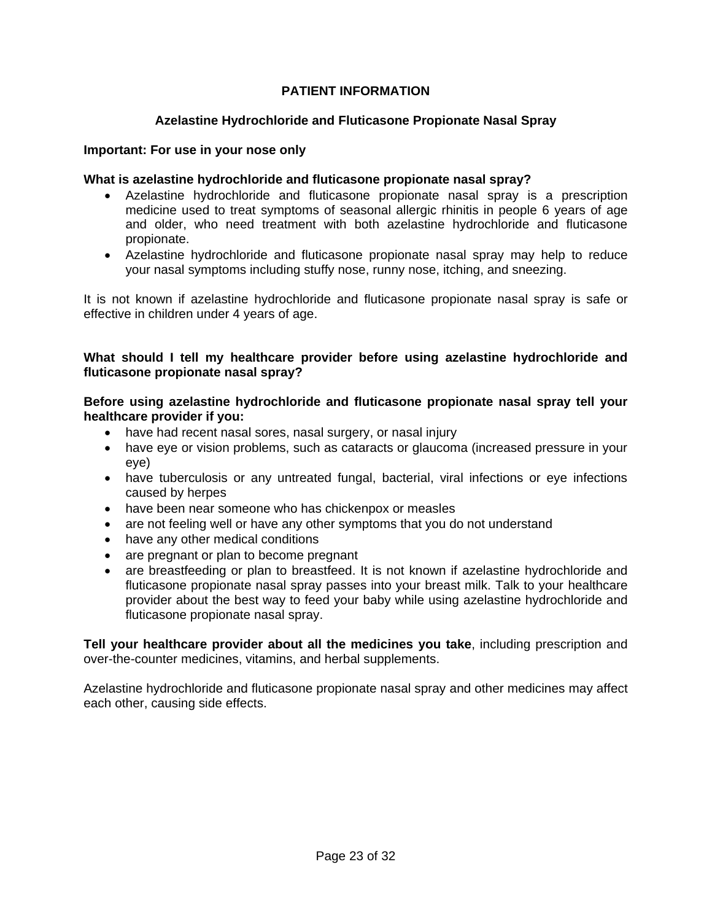# **PATIENT INFORMATION**

## **Azelastine Hydrochloride and Fluticasone Propionate Nasal Spray**

#### **Important: For use in your nose only**

#### **What is azelastine hydrochloride and fluticasone propionate nasal spray?**

- Azelastine hydrochloride and fluticasone propionate nasal spray is a prescription medicine used to treat symptoms of seasonal allergic rhinitis in people 6 years of age and older, who need treatment with both azelastine hydrochloride and fluticasone propionate.
- Azelastine hydrochloride and fluticasone propionate nasal spray may help to reduce your nasal symptoms including stuffy nose, runny nose, itching, and sneezing.

It is not known if azelastine hydrochloride and fluticasone propionate nasal spray is safe or effective in children under 4 years of age.

#### **What should I tell my healthcare provider before using azelastine hydrochloride and fluticasone propionate nasal spray?**

### **Before using azelastine hydrochloride and fluticasone propionate nasal spray tell your healthcare provider if you:**

- have had recent nasal sores, nasal surgery, or nasal injury
- have eye or vision problems, such as cataracts or glaucoma (increased pressure in your eye)
- have tuberculosis or any untreated fungal, bacterial, viral infections or eye infections caused by herpes
- have been near someone who has chickenpox or measles
- are not feeling well or have any other symptoms that you do not understand
- have any other medical conditions
- are pregnant or plan to become pregnant
- are breastfeeding or plan to breastfeed. It is not known if azelastine hydrochloride and fluticasone propionate nasal spray passes into your breast milk. Talk to your healthcare provider about the best way to feed your baby while using azelastine hydrochloride and fluticasone propionate nasal spray.

**Tell your healthcare provider about all the medicines you take**, including prescription and over-the-counter medicines, vitamins, and herbal supplements.

Azelastine hydrochloride and fluticasone propionate nasal spray and other medicines may affect each other, causing side effects.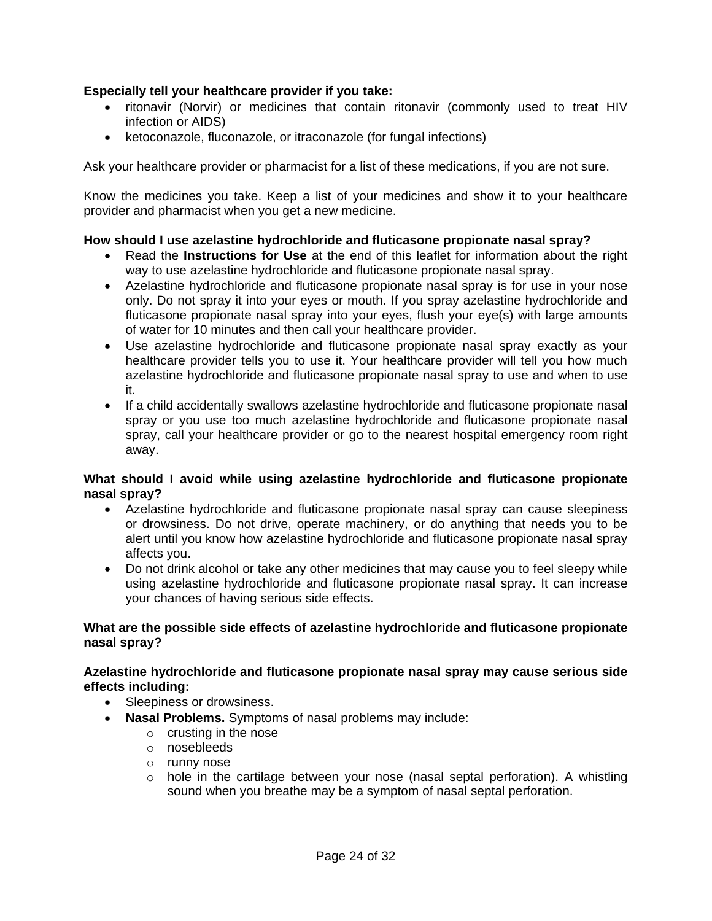## **Especially tell your healthcare provider if you take:**

- ritonavir (Norvir) or medicines that contain ritonavir (commonly used to treat HIV infection or AIDS)
- ketoconazole, fluconazole, or itraconazole (for fungal infections)

Ask your healthcare provider or pharmacist for a list of these medications, if you are not sure.

Know the medicines you take. Keep a list of your medicines and show it to your healthcare provider and pharmacist when you get a new medicine.

#### **How should I use azelastine hydrochloride and fluticasone propionate nasal spray?**

- Read the **Instructions for Use** at the end of this leaflet for information about the right way to use azelastine hydrochloride and fluticasone propionate nasal spray.
- Azelastine hydrochloride and fluticasone propionate nasal spray is for use in your nose only. Do not spray it into your eyes or mouth. If you spray azelastine hydrochloride and fluticasone propionate nasal spray into your eyes, flush your eye(s) with large amounts of water for 10 minutes and then call your healthcare provider.
- Use azelastine hydrochloride and fluticasone propionate nasal spray exactly as your healthcare provider tells you to use it. Your healthcare provider will tell you how much azelastine hydrochloride and fluticasone propionate nasal spray to use and when to use it.
- If a child accidentally swallows azelastine hydrochloride and fluticasone propionate nasal spray or you use too much azelastine hydrochloride and fluticasone propionate nasal spray, call your healthcare provider or go to the nearest hospital emergency room right away.

#### **What should I avoid while using azelastine hydrochloride and fluticasone propionate nasal spray?**

- Azelastine hydrochloride and fluticasone propionate nasal spray can cause sleepiness or drowsiness. Do not drive, operate machinery, or do anything that needs you to be alert until you know how azelastine hydrochloride and fluticasone propionate nasal spray affects you.
- Do not drink alcohol or take any other medicines that may cause you to feel sleepy while using azelastine hydrochloride and fluticasone propionate nasal spray. It can increase your chances of having serious side effects.

### **What are the possible side effects of azelastine hydrochloride and fluticasone propionate nasal spray?**

#### **Azelastine hydrochloride and fluticasone propionate nasal spray may cause serious side effects including:**

- Sleepiness or drowsiness.
- **Nasal Problems.** Symptoms of nasal problems may include:
	- o crusting in the nose
	- o nosebleeds
	- o runny nose
	- $\circ$  hole in the cartilage between your nose (nasal septal perforation). A whistling sound when you breathe may be a symptom of nasal septal perforation.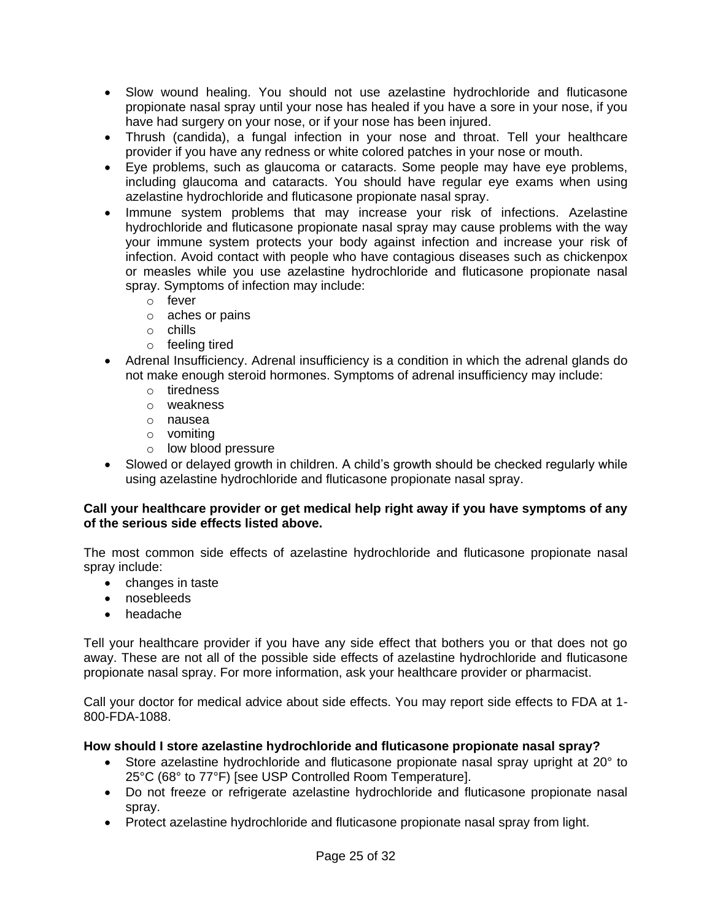- Slow wound healing. You should not use azelastine hydrochloride and fluticasone propionate nasal spray until your nose has healed if you have a sore in your nose, if you have had surgery on your nose, or if your nose has been injured.
- Thrush (candida), a fungal infection in your nose and throat. Tell your healthcare provider if you have any redness or white colored patches in your nose or mouth.
- Eye problems, such as glaucoma or cataracts. Some people may have eye problems, including glaucoma and cataracts. You should have regular eye exams when using azelastine hydrochloride and fluticasone propionate nasal spray.
- Immune system problems that may increase your risk of infections. Azelastine hydrochloride and fluticasone propionate nasal spray may cause problems with the way your immune system protects your body against infection and increase your risk of infection. Avoid contact with people who have contagious diseases such as chickenpox or measles while you use azelastine hydrochloride and fluticasone propionate nasal spray. Symptoms of infection may include:
	- o fever
	- o aches or pains
	- o chills
	- o feeling tired
- Adrenal Insufficiency. Adrenal insufficiency is a condition in which the adrenal glands do not make enough steroid hormones. Symptoms of adrenal insufficiency may include:
	- o tiredness
	- o weakness
	- o nausea
	- o vomiting
	- o low blood pressure
- Slowed or delayed growth in children. A child's growth should be checked regularly while using azelastine hydrochloride and fluticasone propionate nasal spray.

# **Call your healthcare provider or get medical help right away if you have symptoms of any of the serious side effects listed above.**

The most common side effects of azelastine hydrochloride and fluticasone propionate nasal spray include:

- changes in taste
- nosebleeds
- headache

Tell your healthcare provider if you have any side effect that bothers you or that does not go away. These are not all of the possible side effects of azelastine hydrochloride and fluticasone propionate nasal spray. For more information, ask your healthcare provider or pharmacist.

Call your doctor for medical advice about side effects. You may report side effects to FDA at 1- 800-FDA-1088.

# **How should I store azelastine hydrochloride and fluticasone propionate nasal spray?**

- Store azelastine hydrochloride and fluticasone propionate nasal spray upright at 20° to 25°C (68° to 77°F) [see USP Controlled Room Temperature].
- Do not freeze or refrigerate azelastine hydrochloride and fluticasone propionate nasal spray.
- Protect azelastine hydrochloride and fluticasone propionate nasal spray from light.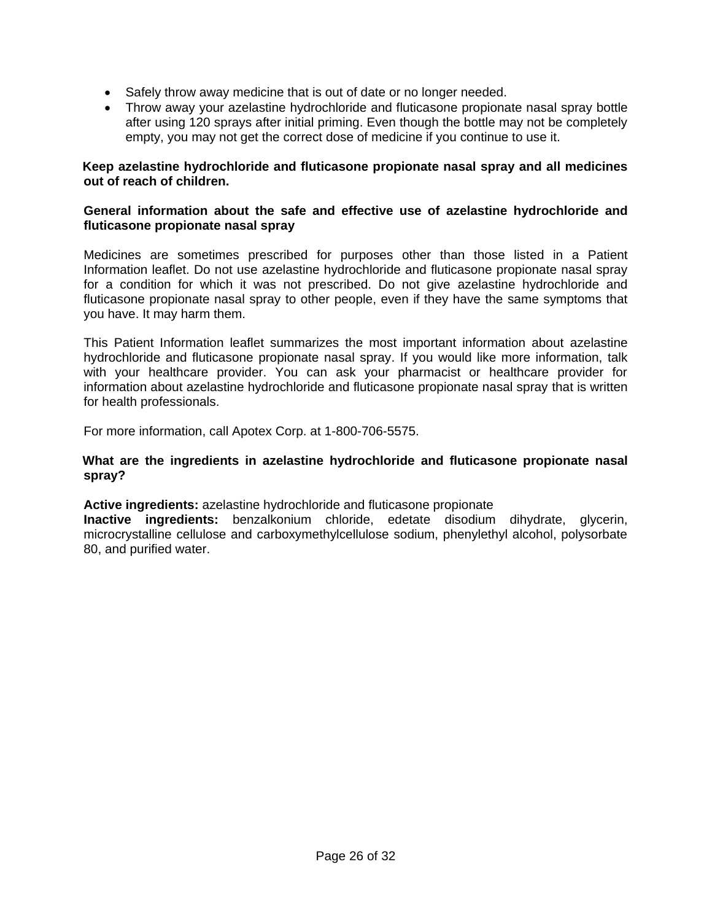- Safely throw away medicine that is out of date or no longer needed.
- Throw away your azelastine hydrochloride and fluticasone propionate nasal spray bottle after using 120 sprays after initial priming. Even though the bottle may not be completely empty, you may not get the correct dose of medicine if you continue to use it.

### **Keep azelastine hydrochloride and fluticasone propionate nasal spray and all medicines out of reach of children.**

#### **General information about the safe and effective use of azelastine hydrochloride and fluticasone propionate nasal spray**

Medicines are sometimes prescribed for purposes other than those listed in a Patient Information leaflet. Do not use azelastine hydrochloride and fluticasone propionate nasal spray for a condition for which it was not prescribed. Do not give azelastine hydrochloride and fluticasone propionate nasal spray to other people, even if they have the same symptoms that you have. It may harm them.

This Patient Information leaflet summarizes the most important information about azelastine hydrochloride and fluticasone propionate nasal spray. If you would like more information, talk with your healthcare provider. You can ask your pharmacist or healthcare provider for information about azelastine hydrochloride and fluticasone propionate nasal spray that is written for health professionals.

For more information, call Apotex Corp. at 1-800-706-5575.

#### **What are the ingredients in azelastine hydrochloride and fluticasone propionate nasal spray?**

**Active ingredients:** azelastine hydrochloride and fluticasone propionate

**Inactive ingredients:** benzalkonium chloride, edetate disodium dihydrate, glycerin, microcrystalline cellulose and carboxymethylcellulose sodium, phenylethyl alcohol, polysorbate 80, and purified water.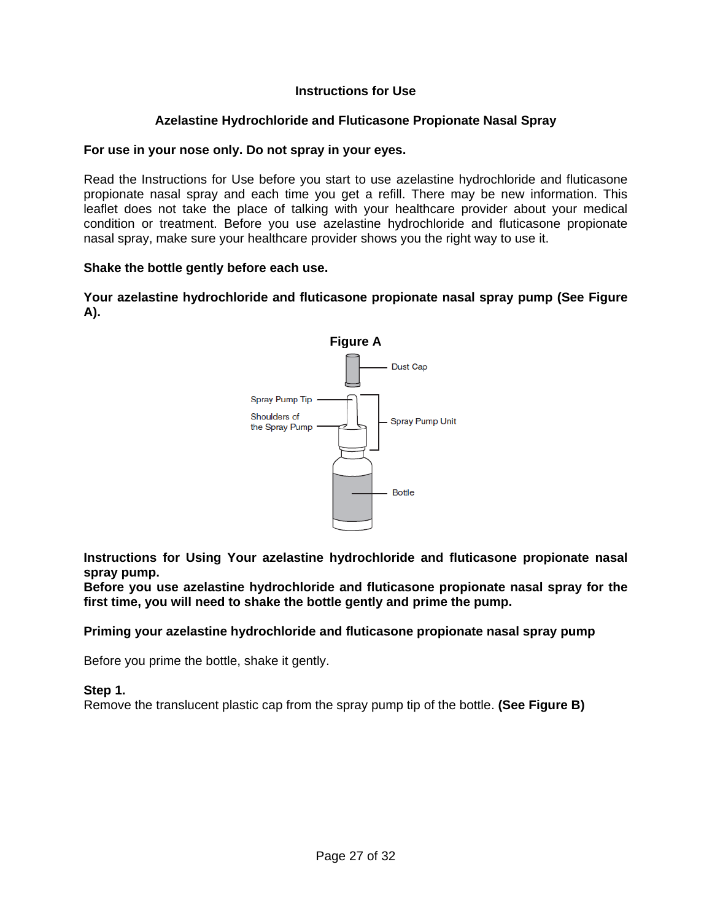## **Instructions for Use**

# **Azelastine Hydrochloride and Fluticasone Propionate Nasal Spray**

### **For use in your nose only. Do not spray in your eyes.**

Read the Instructions for Use before you start to use azelastine hydrochloride and fluticasone propionate nasal spray and each time you get a refill. There may be new information. This leaflet does not take the place of talking with your healthcare provider about your medical condition or treatment. Before you use azelastine hydrochloride and fluticasone propionate nasal spray, make sure your healthcare provider shows you the right way to use it.

### **Shake the bottle gently before each use.**

## **Your azelastine hydrochloride and fluticasone propionate nasal spray pump (See Figure A).**



**Instructions for Using Your azelastine hydrochloride and fluticasone propionate nasal spray pump.** 

**Before you use azelastine hydrochloride and fluticasone propionate nasal spray for the first time, you will need to shake the bottle gently and prime the pump.** 

### **Priming your azelastine hydrochloride and fluticasone propionate nasal spray pump**

Before you prime the bottle, shake it gently.

### **Step 1.**

Remove the translucent plastic cap from the spray pump tip of the bottle. **(See Figure B)**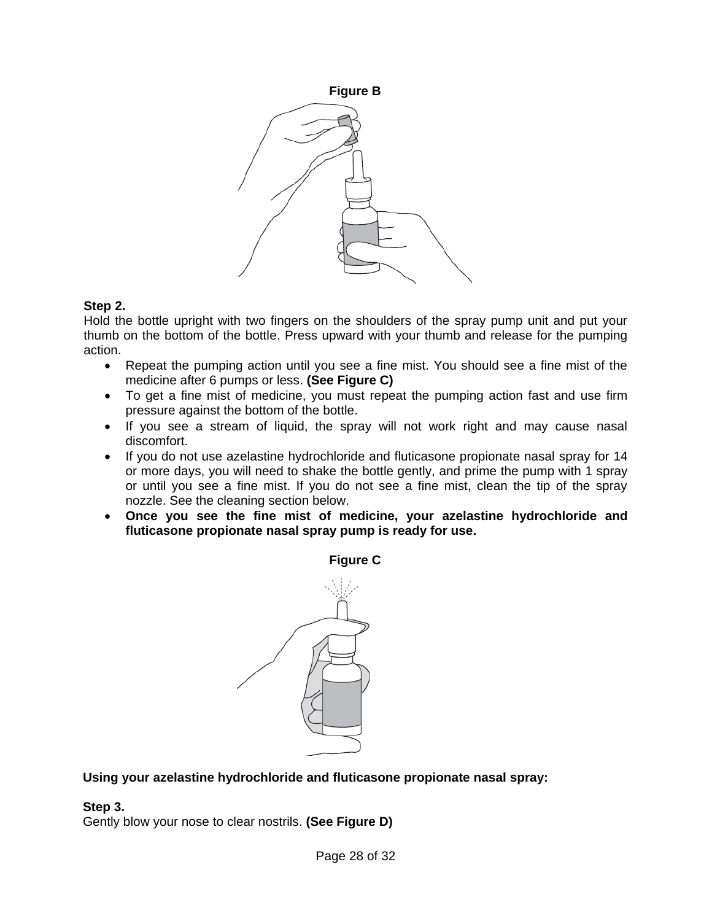

## **Step 2.**

Hold the bottle upright with two fingers on the shoulders of the spray pump unit and put your thumb on the bottom of the bottle. Press upward with your thumb and release for the pumping action.

- Repeat the pumping action until you see a fine mist. You should see a fine mist of the medicine after 6 pumps or less. **(See Figure C)**
- To get a fine mist of medicine, you must repeat the pumping action fast and use firm pressure against the bottom of the bottle.
- If you see a stream of liquid, the spray will not work right and may cause nasal discomfort.
- If you do not use azelastine hydrochloride and fluticasone propionate nasal spray for 14 or more days, you will need to shake the bottle gently, and prime the pump with 1 spray or until you see a fine mist. If you do not see a fine mist, clean the tip of the spray nozzle. See the cleaning section below.
- **Once you see the fine mist of medicine, your azelastine hydrochloride and fluticasone propionate nasal spray pump is ready for use.**

**Figure C**



# **Using your azelastine hydrochloride and fluticasone propionate nasal spray:**

### **Step 3.**

Gently blow your nose to clear nostrils. **(See Figure D)**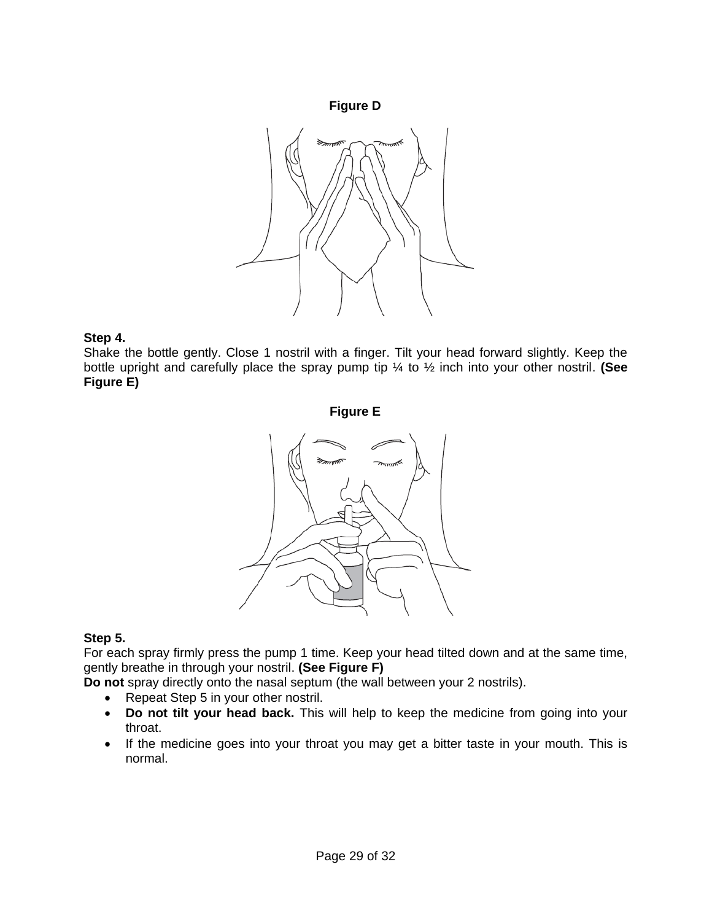

### **Step 4.**

Shake the bottle gently. Close 1 nostril with a finger. Tilt your head forward slightly. Keep the bottle upright and carefully place the spray pump tip ¼ to ½ inch into your other nostril. **(See Figure E)**

**Figure E**



# **Step 5.**

For each spray firmly press the pump 1 time. Keep your head tilted down and at the same time, gently breathe in through your nostril. **(See Figure F)** 

**Do not** spray directly onto the nasal septum (the wall between your 2 nostrils).

- Repeat Step 5 in your other nostril.
- **Do not tilt your head back.** This will help to keep the medicine from going into your throat.
- If the medicine goes into your throat you may get a bitter taste in your mouth. This is normal.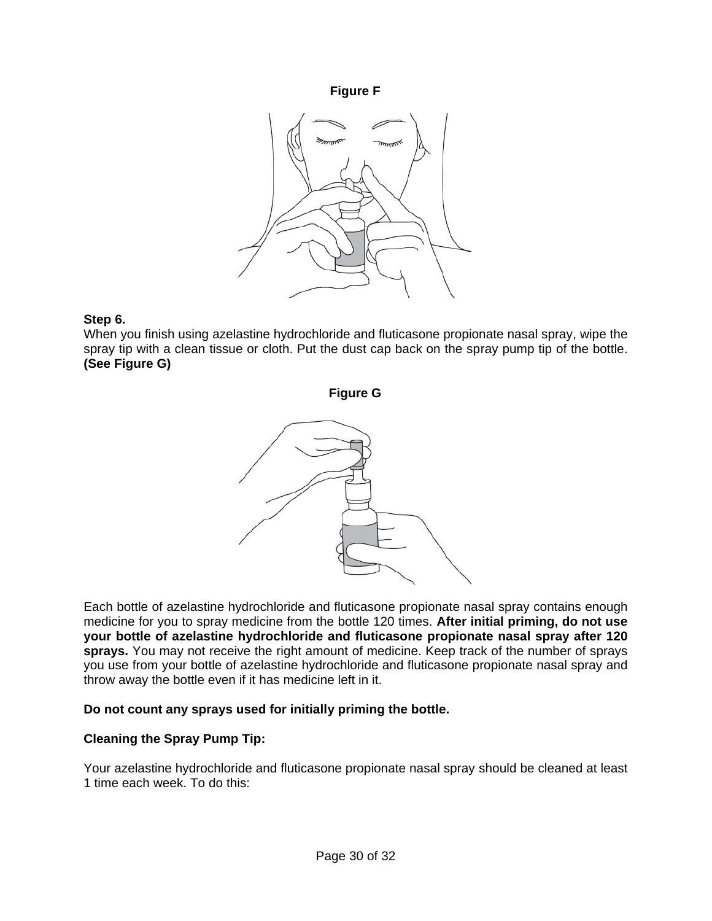



### **Step 6.**

When you finish using azelastine hydrochloride and fluticasone propionate nasal spray, wipe the spray tip with a clean tissue or cloth. Put the dust cap back on the spray pump tip of the bottle. **(See Figure G)**



Each bottle of azelastine hydrochloride and fluticasone propionate nasal spray contains enough medicine for you to spray medicine from the bottle 120 times. **After initial priming, do not use your bottle of azelastine hydrochloride and fluticasone propionate nasal spray after 120 sprays.** You may not receive the right amount of medicine. Keep track of the number of sprays you use from your bottle of azelastine hydrochloride and fluticasone propionate nasal spray and throw away the bottle even if it has medicine left in it.

# **Do not count any sprays used for initially priming the bottle.**

# **Cleaning the Spray Pump Tip:**

Your azelastine hydrochloride and fluticasone propionate nasal spray should be cleaned at least 1 time each week. To do this: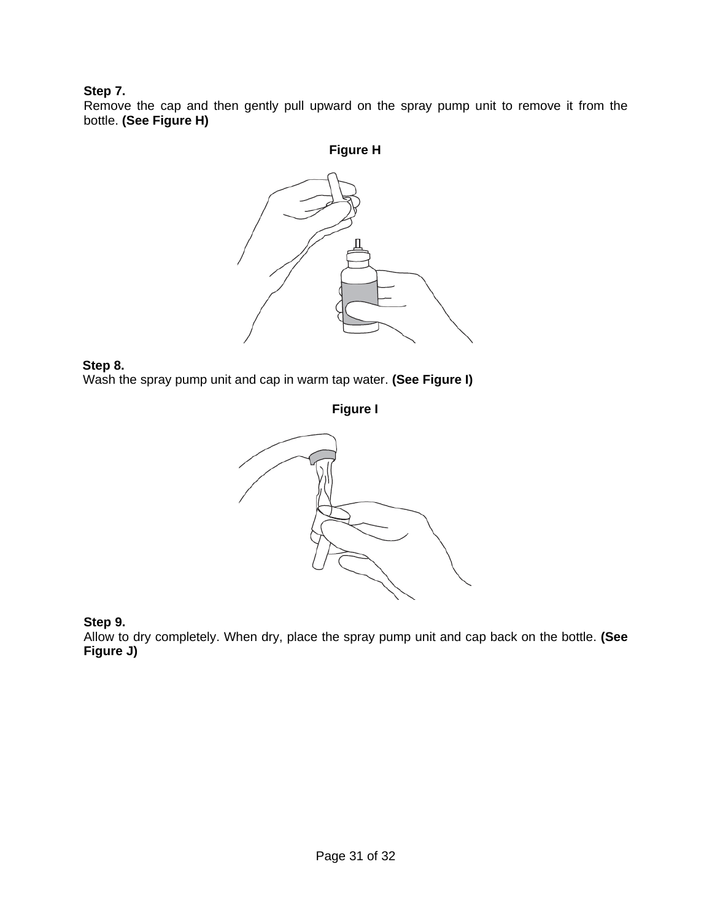## **Step 7.**

Remove the cap and then gently pull upward on the spray pump unit to remove it from the bottle. **(See Figure H)**





### **Step 8.**

Wash the spray pump unit and cap in warm tap water. **(See Figure I)**

**Figure I**



## **Step 9.**

Allow to dry completely. When dry, place the spray pump unit and cap back on the bottle. **(See Figure J)**